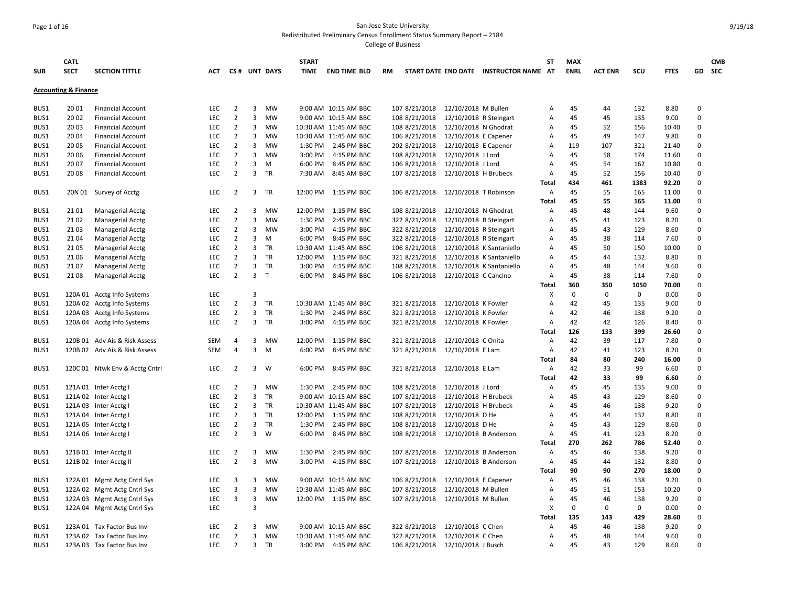### Page 1 of 16 San Jose State University Redistributed Preliminary Census Enrollment Status Summary Report – 2184

| <b>SUB</b> | <b>CATL</b><br><b>SECT</b>      | <b>SECTION TITTLE</b>          | <b>ACT</b> |                |                         | CS# UNT DAYS | <b>START</b><br>TIME | <b>END TIME BLD</b>   | <b>RM</b>     |                                        | START DATE END DATE INSTRUCTOR NAME AT | <b>ST</b>    | <b>MAX</b><br><b>ENRL</b> | <b>ACT ENR</b> | scu         | <b>FTES</b>   |                         | <b>CMB</b><br>GD SEC |
|------------|---------------------------------|--------------------------------|------------|----------------|-------------------------|--------------|----------------------|-----------------------|---------------|----------------------------------------|----------------------------------------|--------------|---------------------------|----------------|-------------|---------------|-------------------------|----------------------|
|            |                                 |                                |            |                |                         |              |                      |                       |               |                                        |                                        |              |                           |                |             |               |                         |                      |
|            | <b>Accounting &amp; Finance</b> |                                |            |                |                         |              |                      |                       |               |                                        |                                        |              |                           |                |             |               |                         |                      |
| BUS1       | 20 01                           | <b>Financial Account</b>       | <b>LEC</b> | 2              | 3                       | <b>MW</b>    |                      | 9:00 AM 10:15 AM BBC  | 107 8/21/2018 | 12/10/2018 M Bullen                    |                                        | A            | 45                        | 44             | 132         | 8.80          | 0                       |                      |
| BUS1       | 20 02                           | <b>Financial Account</b>       | LEC        | $\overline{2}$ | 3                       | MW           |                      | 9:00 AM 10:15 AM BBC  | 108 8/21/2018 | 12/10/2018 R Steingart                 |                                        | A            | 45                        | 45             | 135         | 9.00          | $\mathbf 0$             |                      |
| BUS1       | 20 03                           | <b>Financial Account</b>       | LEC        | $\overline{2}$ | 3                       | <b>MW</b>    |                      | 10:30 AM 11:45 AM BBC | 108 8/21/2018 | 12/10/2018 N Ghodrat                   |                                        | A            | 45                        | 52             | 156         | 10.40         | $\mathbf 0$             |                      |
| BUS1       | 20 04                           | <b>Financial Account</b>       | LEC        | $\overline{2}$ | 3                       | <b>MW</b>    |                      | 10:30 AM 11:45 AM BBC | 106 8/21/2018 | 12/10/2018 E Capener                   |                                        | Α            | 45                        | 49             | 147         | 9.80          | $\Omega$                |                      |
| BUS1       | 20 05                           | <b>Financial Account</b>       | LEC        | $\overline{2}$ | 3                       | <b>MW</b>    | 1:30 PM              | 2:45 PM BBC           | 202 8/21/2018 | 12/10/2018 E Capener                   |                                        | A            | 119                       | 107            | 321         | 21.40         | $\Omega$                |                      |
| BUS1       | 20 06                           | <b>Financial Account</b>       | LEC        | $\overline{2}$ | 3                       | MW           | 3:00 PM              | 4:15 PM BBC           | 108 8/21/2018 | 12/10/2018 J Lord                      |                                        | A            | 45                        | 58             | 174         | 11.60         | $\Omega$                |                      |
| BUS1       | 20 07                           | <b>Financial Account</b>       | LEC        | $\overline{2}$ | 3                       | M            | 6:00 PM              | 8:45 PM BBC           | 106 8/21/2018 | 12/10/2018 J Lord                      |                                        | Α            | 45                        | 54             | 162         | 10.80         | $\mathbf 0$             |                      |
| BUS1       | 20 08                           | <b>Financial Account</b>       | LEC        | $\overline{2}$ | $\overline{3}$          | <b>TR</b>    | 7:30 AM              | 8:45 AM BBC           | 107 8/21/2018 | 12/10/2018 H Brubeck                   |                                        | A            | 45                        | 52             | 156         | 10.40         | $\Omega$                |                      |
|            |                                 |                                |            |                |                         |              |                      |                       |               |                                        |                                        | Total        | 434                       | 461            | 1383        | 92.20         | $\Omega$                |                      |
| BUS1       | 20N 01                          | Survey of Acctg                | LEC        | $\overline{2}$ | 3                       | TR           | 12:00 PM             | 1:15 PM BBC           | 106 8/21/2018 | 12/10/2018 T Robinson                  |                                        | Α            | 45                        | 55             | 165         | 11.00         | $\Omega$                |                      |
|            |                                 |                                |            |                |                         |              |                      |                       |               |                                        |                                        | Total        | 45                        | 55             | 165         | 11.00         | $\Omega$                |                      |
| BUS1       | 21 01                           | <b>Managerial Acctg</b>        | <b>LEC</b> | $\overline{2}$ | 3                       | <b>MW</b>    |                      | 12:00 PM 1:15 PM BBC  | 108 8/21/2018 | 12/10/2018 N Ghodrat                   |                                        | A            | 45                        | 48             | 144         | 9.60          | $\Omega$                |                      |
| BUS1       | 21 02                           | Managerial Acctg               | LEC        | $\overline{2}$ | 3                       | MW           | 1:30 PM              | 2:45 PM BBC           | 322 8/21/2018 | 12/10/2018 R Steingart                 |                                        | A            | 45                        | 41             | 123         | 8.20          | $\Omega$                |                      |
| BUS1       | 21 03                           | Managerial Acctg               | LEC        | $\overline{2}$ | 3                       | MW           | 3:00 PM              | 4:15 PM BBC           | 322 8/21/2018 | 12/10/2018 R Steingart                 |                                        | А            | 45                        | 43             | 129         | 8.60          | $\Omega$                |                      |
| BUS1       | 21 04                           | Managerial Acctg               | <b>LEC</b> | $\overline{2}$ | 3                       | M            | 6:00 PM              | 8:45 PM BBC           | 322 8/21/2018 | 12/10/2018 R Steingart                 |                                        | А            | 45                        | 38             | 114         | 7.60          | $\Omega$                |                      |
| BUS1       | 21 05                           | <b>Managerial Acctg</b>        | LEC        | $\overline{2}$ | 3                       | TR           |                      | 10:30 AM 11:45 AM BBC | 106 8/21/2018 |                                        | 12/10/2018 K Santaniello               | А            | 45                        | 50             | 150         | 10.00         | $\Omega$                |                      |
| BUS1       | 21 06                           | <b>Managerial Acctg</b>        | LEC        | $\overline{2}$ |                         | 3 TR         |                      | 12:00 PM 1:15 PM BBC  | 321 8/21/2018 |                                        | 12/10/2018 K Santaniello               | А            | 45                        | 44             | 132         | 8.80          | $\Omega$                |                      |
| BUS1       | 21 07                           | <b>Managerial Acctg</b>        | <b>LEC</b> | $\overline{2}$ | 3                       | TR           | 3:00 PM              | 4:15 PM BBC           | 108 8/21/2018 |                                        | 12/10/2018 K Santaniello               | А            | 45                        | 48             | 144         | 9.60          | $\Omega$                |                      |
| BUS1       | 21 08                           | <b>Managerial Acctg</b>        | <b>LEC</b> | $\overline{2}$ | 3 <sub>T</sub>          |              |                      | 6:00 PM 8:45 PM BBC   | 106 8/21/2018 | 12/10/2018 C Cancino                   |                                        | Α            | 45                        | 38             | 114         | 7.60          | $\Omega$                |                      |
|            |                                 |                                |            |                |                         |              |                      |                       |               |                                        |                                        | Total        | 360                       | 350            | 1050        | 70.00         | $\Omega$                |                      |
| BUS1       |                                 | 120A 01 Acctg Info Systems     | LEC        |                | 3                       |              |                      |                       |               |                                        |                                        | х            | $\Omega$                  | $\Omega$       | $\mathbf 0$ | 0.00          | $\Omega$                |                      |
| BUS1       |                                 | 120A 02 Acctg Info Systems     | <b>LEC</b> | $\overline{2}$ | $\overline{3}$          | TR           |                      | 10:30 AM 11:45 AM BBC | 321 8/21/2018 | 12/10/2018 K Fowler                    |                                        | A            | 42                        | 45             | 135         | 9.00          | $\Omega$                |                      |
| BUS1       |                                 | 120A 03 Acctg Info Systems     | LEC        | $\overline{2}$ | 3                       | TR           | 1:30 PM              | 2:45 PM BBC           | 321 8/21/2018 | 12/10/2018 K Fowler                    |                                        | А            | 42                        | 46             | 138         | 9.20          | $\mathbf 0$<br>$\Omega$ |                      |
| BUS1       |                                 | 120A 04 Acctg Info Systems     | LEC        | $\overline{2}$ | 3                       | TR           |                      | 3:00 PM 4:15 PM BBC   | 321 8/21/2018 | 12/10/2018 K Fowler                    |                                        | А            | 42<br>126                 | 42<br>133      | 126<br>399  | 8.40<br>26.60 | $\Omega$                |                      |
| BUS1       |                                 | 120B 01 Adv Ais & Risk Assess  | <b>SEM</b> | 4              | 3                       | MW           | 12:00 PM             | 1:15 PM BBC           | 321 8/21/2018 |                                        |                                        | Total<br>A   | 42                        | 39             | 117         | 7.80          | $\Omega$                |                      |
| BUS1       |                                 | 120B 02 Adv Ais & Risk Assess  | <b>SEM</b> | 4              | 3                       | M            | 6:00 PM              | 8:45 PM BBC           | 321 8/21/2018 | 12/10/2018 C Onita<br>12/10/2018 E Lam |                                        | Α            | 42                        | 41             | 123         | 8.20          | $\Omega$                |                      |
|            |                                 |                                |            |                |                         |              |                      |                       |               |                                        |                                        | Total        | 84                        | 80             | 240         | 16.00         | $\Omega$                |                      |
| BUS1       |                                 | 120C 01 Ntwk Env & Acctg Cntrl | <b>LEC</b> | 2              | 3                       | W            | 6:00 PM              | 8:45 PM BBC           | 321 8/21/2018 | 12/10/2018 E Lam                       |                                        | A            | 42                        | 33             | 99          | 6.60          | $\Omega$                |                      |
|            |                                 |                                |            |                |                         |              |                      |                       |               |                                        |                                        | <b>Total</b> | 42                        | 33             | 99          | 6.60          | $\Omega$                |                      |
| BUS1       |                                 | 121A 01 Inter Acctg I          | LEC        | $\overline{2}$ | 3                       | MW           | 1:30 PM              | 2:45 PM BBC           | 108 8/21/2018 | 12/10/2018 J Lord                      |                                        | A            | 45                        | 45             | 135         | 9.00          | $\Omega$                |                      |
| BUS1       |                                 | 121A 02 Inter Acctg I          | LEC        | $\overline{2}$ | $\overline{3}$          | <b>TR</b>    |                      | 9:00 AM 10:15 AM BBC  | 107 8/21/2018 | 12/10/2018 H Brubeck                   |                                        | А            | 45                        | 43             | 129         | 8.60          | $\Omega$                |                      |
| BUS1       |                                 | 121A 03 Inter Acctg I          | <b>LEC</b> | $\overline{2}$ | 3                       | <b>TR</b>    |                      | 10:30 AM 11:45 AM BBC | 107 8/21/2018 | 12/10/2018 H Brubeck                   |                                        | Α            | 45                        | 46             | 138         | 9.20          | $\Omega$                |                      |
| BUS1       |                                 | 121A 04 Inter Acctg I          | LEC        | $\overline{2}$ | $\overline{\mathbf{3}}$ | TR           |                      | 12:00 PM 1:15 PM BBC  | 108 8/21/2018 | 12/10/2018 D He                        |                                        | Α            | 45                        | 44             | 132         | 8.80          | $\Omega$                |                      |
| BUS1       |                                 | 121A 05 Inter Acctg I          | LEC        | $\overline{2}$ | 3                       | <b>TR</b>    |                      | 1:30 PM 2:45 PM BBC   | 108 8/21/2018 | 12/10/2018 D He                        |                                        | А            | 45                        | 43             | 129         | 8.60          | $\Omega$                |                      |
| BUS1       |                                 | 121A 06 Inter Acctg I          | <b>LEC</b> | $\overline{2}$ | $\overline{3}$          | W            | 6:00 PM              | 8:45 PM BBC           | 108 8/21/2018 | 12/10/2018 B Anderson                  |                                        | A            | 45                        | 41             | 123         | 8.20          | $\Omega$                |                      |
|            |                                 |                                |            |                |                         |              |                      |                       |               |                                        |                                        | Total        | 270                       | 262            | 786         | 52.40         | $\mathbf 0$             |                      |
| BUS1       |                                 | 121B 01 Inter Acctg II         | <b>LEC</b> | 2              | 3                       | MW           | 1:30 PM              | 2:45 PM BBC           | 107 8/21/2018 | 12/10/2018 B Anderson                  |                                        | Α            | 45                        | 46             | 138         | 9.20          | $\Omega$                |                      |
| BUS1       |                                 | 121B 02 Inter Acctg II         | LEC        | $\overline{2}$ | 3                       | <b>MW</b>    | 3:00 PM              | 4:15 PM BBC           | 107 8/21/2018 | 12/10/2018 B Anderson                  |                                        | Α            | 45                        | 44             | 132         | 8.80          | $\Omega$                |                      |
|            |                                 |                                |            |                |                         |              |                      |                       |               |                                        |                                        | Total        | 90                        | 90             | 270         | 18.00         | $\Omega$                |                      |
| BUS1       |                                 | 122A 01 Mgmt Actg Cntrl Sys    | <b>LEC</b> | 3              | 3                       | MW           |                      | 9:00 AM 10:15 AM BBC  | 106 8/21/2018 | 12/10/2018 E Capener                   |                                        | Α            | 45                        | 46             | 138         | 9.20          | $\mathbf 0$             |                      |
| BUS1       |                                 | 122A 02 Mgmt Actg Cntrl Sys    | LEC        | 3              | 3                       | MW           |                      | 10:30 AM 11:45 AM BBC | 107 8/21/2018 | 12/10/2018 M Bullen                    |                                        | Α            | 45                        | 51             | 153         | 10.20         | $\Omega$                |                      |
| BUS1       |                                 | 122A 03 Mgmt Actg Cntrl Sys    | <b>LEC</b> | 3              | 3                       | MW           |                      | 12:00 PM 1:15 PM BBC  | 107 8/21/2018 | 12/10/2018 M Bullen                    |                                        | Α            | 45                        | 46             | 138         | 9.20          | $\Omega$                |                      |
| BUS1       |                                 | 122A 04 Mgmt Actg Cntrl Sys    | LEC        |                | 3                       |              |                      |                       |               |                                        |                                        | X            | $\mathbf 0$               | $\mathbf 0$    | $\mathbf 0$ | 0.00          | $\mathbf 0$             |                      |
|            |                                 |                                |            |                |                         |              |                      |                       |               |                                        |                                        | Total        | 135                       | 143            | 429         | 28.60         | $\Omega$                |                      |
| BUS1       |                                 | 123A 01 Tax Factor Bus Inv     | <b>LEC</b> | $\overline{2}$ | 3                       | MW           |                      | 9:00 AM 10:15 AM BBC  | 322 8/21/2018 | 12/10/2018 C Chen                      |                                        | Α            | 45                        | 46             | 138         | 9.20          | $\mathbf 0$             |                      |
| BUS1       |                                 | 123A 02 Tax Factor Bus Inv     | LEC        | $\overline{2}$ | 3                       | <b>MW</b>    |                      | 10:30 AM 11:45 AM BBC | 322 8/21/2018 | 12/10/2018 C Chen                      |                                        | A            | 45                        | 48             | 144         | 9.60          | $\Omega$                |                      |
| BUS1       |                                 | 123A 03 Tax Factor Bus Inv     | LEC        | $\overline{2}$ | 3                       | TR           |                      | 3:00 PM 4:15 PM BBC   | 106 8/21/2018 | 12/10/2018 J Busch                     |                                        | A            | 45                        | 43             | 129         | 8.60          | $\mathbf 0$             |                      |
|            |                                 |                                |            |                |                         |              |                      |                       |               |                                        |                                        |              |                           |                |             |               |                         |                      |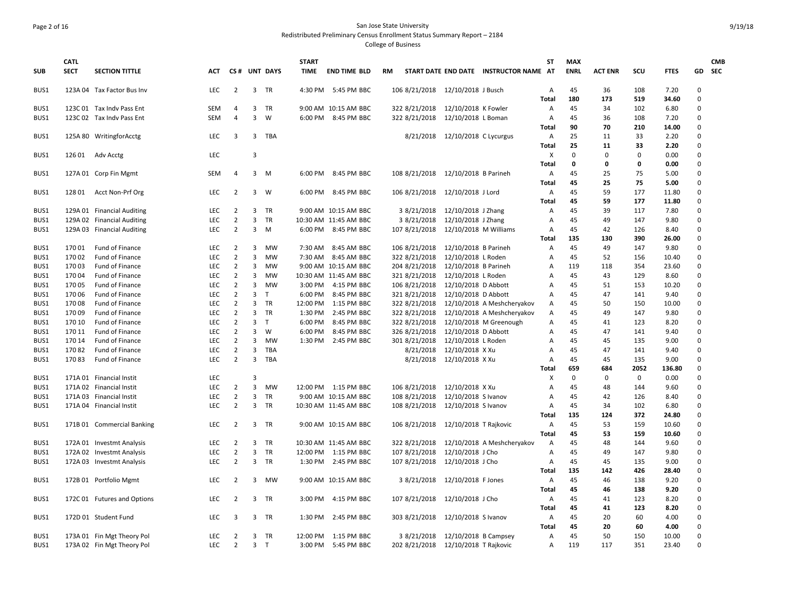# Page 2 of 16 San Jose State University Redistributed Preliminary Census Enrollment Status Summary Report – 2184

| <b>SUB</b> | <b>CATL</b><br><b>SECT</b> | <b>SECTION TITTLE</b>       | ACT        |                |                | CS# UNT DAYS | <b>START</b><br><b>TIME</b> | <b>END TIME BLD</b>   | RM                                  |                                 | START DATE END DATE INSTRUCTOR NAME AT | <b>ST</b>                 | <b>MAX</b><br><b>ENRL</b> | <b>ACT ENR</b> | SCU          | <b>FTES</b>   |                         | <b>CMB</b><br>GD SEC |
|------------|----------------------------|-----------------------------|------------|----------------|----------------|--------------|-----------------------------|-----------------------|-------------------------------------|---------------------------------|----------------------------------------|---------------------------|---------------------------|----------------|--------------|---------------|-------------------------|----------------------|
| BUS1       |                            | 123A 04 Tax Factor Bus Inv  | <b>LEC</b> | 2              |                | 3 TR         |                             | 4:30 PM 5:45 PM BBC   | 106 8/21/2018 12/10/2018 J Busch    |                                 |                                        | A<br>Total                | 45<br>180                 | 36<br>173      | 108<br>519   | 7.20<br>34.60 | $\Omega$<br>$\mathbf 0$ |                      |
| BUS1       |                            | 123C 01 Tax Indv Pass Ent   | <b>SEM</b> | 4              | 3              | TR           |                             | 9:00 AM 10:15 AM BBC  | 322 8/21/2018                       | 12/10/2018 K Fowler             |                                        | Α                         | 45                        | 34             | 102          | 6.80          | $\Omega$                |                      |
| BUS1       |                            | 123C 02 Tax Indv Pass Ent   | <b>SEM</b> | 4              | $\overline{3}$ | W            | 6:00 PM                     | 8:45 PM BBC           | 322 8/21/2018                       | 12/10/2018 L Boman              |                                        | Α                         | 45                        | 36             | 108          | 7.20          | $\Omega$                |                      |
|            |                            |                             |            |                |                |              |                             |                       |                                     |                                 |                                        | Total                     | 90                        | 70             | 210          | 14.00         | $\mathbf 0$             |                      |
| BUS1       |                            | 125A 80 WritingforAcctg     | <b>LEC</b> | 3              |                | 3 TBA        |                             |                       |                                     | 8/21/2018 12/10/2018 C Lycurgus |                                        | A                         | 25                        | 11             | 33           | 2.20          | $\Omega$                |                      |
|            |                            |                             |            |                |                |              |                             |                       |                                     |                                 |                                        | Total                     | 25                        | 11             | 33           | 2.20          | $\mathbf 0$             |                      |
| BUS1       |                            | 126 01 Adv Acctg            | LEC        |                | 3              |              |                             |                       |                                     |                                 |                                        | $\boldsymbol{\mathsf{X}}$ | $\Omega$                  | $\Omega$       | $\mathbf{0}$ | 0.00          | $\Omega$                |                      |
|            |                            |                             |            |                |                |              |                             |                       |                                     |                                 |                                        | Total                     | 0                         | 0              | 0            | 0.00          | $\Omega$                |                      |
| BUS1       |                            | 127A 01 Corp Fin Mgmt       | <b>SEM</b> | 4              | 3              | M            |                             | 6:00 PM 8:45 PM BBC   | 108 8/21/2018 12/10/2018 B Parineh  |                                 |                                        | Α                         | 45                        | 25             | 75           | 5.00          | $\Omega$                |                      |
|            |                            |                             |            |                |                |              |                             |                       |                                     |                                 |                                        | Total                     | 45                        | 25             | 75           | 5.00          | $\Omega$                |                      |
| BUS1       | 12801                      | Acct Non-Prf Org            | LEC        | $\overline{2}$ | 3              | W            | 6:00 PM                     | 8:45 PM BBC           | 106 8/21/2018                       | 12/10/2018 J Lord               |                                        | Α                         | 45                        | 59             | 177          | 11.80         | $\mathbf 0$             |                      |
|            |                            |                             |            |                |                |              |                             |                       |                                     |                                 |                                        | Total                     | 45                        | 59             | 177          | 11.80         | $\Omega$                |                      |
| BUS1       |                            | 129A 01 Financial Auditing  | LEC        | $\overline{2}$ |                | 3 TR         |                             | 9:00 AM 10:15 AM BBC  | 3 8/21/2018                         | 12/10/2018 J Zhang              |                                        | Α                         | 45                        | 39             | 117          | 7.80          | $\mathbf 0$             |                      |
| BUS1       |                            | 129A 02 Financial Auditing  | LEC        | $\overline{2}$ | 3              | TR           |                             | 10:30 AM 11:45 AM BBC | 3 8/21/2018                         | 12/10/2018 J Zhang              |                                        | A                         | 45                        | 49             | 147          | 9.80          | $\Omega$                |                      |
| BUS1       |                            | 129A 03 Financial Auditing  | LEC        | $\overline{2}$ | 3              | M            |                             | 6:00 PM 8:45 PM BBC   | 107 8/21/2018                       | 12/10/2018 M Williams           |                                        | Α                         | 45                        | 42             | 126          | 8.40          | $\mathbf 0$             |                      |
|            |                            |                             |            |                |                |              |                             |                       |                                     |                                 |                                        | <b>Total</b>              | 135                       | 130            | 390          | 26.00         | $\Omega$                |                      |
| BUS1       | 17001                      | Fund of Finance             | <b>LEC</b> | 2              | 3              | <b>MW</b>    | 7:30 AM                     | 8:45 AM BBC           | 106 8/21/2018                       | 12/10/2018 B Parineh            |                                        | A                         | 45                        | 49             | 147          | 9.80          | $\Omega$                |                      |
| BUS1       | 17002                      | Fund of Finance             | LEC        | $\overline{2}$ | 3              | MW           | 7:30 AM                     | 8:45 AM BBC           | 322 8/21/2018                       | 12/10/2018 L Roden              |                                        | Α                         | 45                        | 52             | 156          | 10.40         | $\mathbf 0$             |                      |
| BUS1       | 17003                      | Fund of Finance             | LEC        | $\overline{2}$ | 3              | <b>MW</b>    |                             | 9:00 AM 10:15 AM BBC  | 204 8/21/2018                       | 12/10/2018 B Parineh            |                                        | A                         | 119                       | 118            | 354          | 23.60         | $\Omega$                |                      |
| BUS1       | 17004                      | Fund of Finance             | LEC        | $\overline{2}$ | 3              | MW           |                             | 10:30 AM 11:45 AM BBC | 321 8/21/2018                       | 12/10/2018 L Roden              |                                        | A                         | 45                        | 43             | 129          | 8.60          | $\mathbf 0$             |                      |
| BUS1       | 17005                      | Fund of Finance             | LEC        | $\overline{2}$ | 3              | MW           | 3:00 PM                     | 4:15 PM BBC           | 106 8/21/2018                       | 12/10/2018 D Abbott             |                                        | A                         | 45                        | 51             | 153          | 10.20         | $\mathbf 0$             |                      |
| BUS1       | 170 06                     | Fund of Finance             | <b>LEC</b> | $\overline{2}$ | 3              | $\top$       | 6:00 PM                     | 8:45 PM BBC           | 321 8/21/2018                       | 12/10/2018 D Abbott             |                                        | A                         | 45                        | 47             | 141          | 9.40          | $\Omega$                |                      |
| BUS1       | 17008                      | Fund of Finance             | LEC        | $\overline{2}$ | $\mathbf{3}$   | TR           | 12:00 PM                    | 1:15 PM BBC           | 322 8/21/2018                       |                                 | 12/10/2018 A Meshcheryakov             | Α                         | 45                        | 50             | 150          | 10.00         | $\Omega$                |                      |
| BUS1       | 17009                      | Fund of Finance             | <b>LEC</b> | $\overline{2}$ | 3              | <b>TR</b>    | 1:30 PM                     | 2:45 PM BBC           | 322 8/21/2018                       |                                 | 12/10/2018 A Meshcheryakov             | Α                         | 45                        | 49             | 147          | 9.80          | $\Omega$                |                      |
| BUS1       | 170 10                     | Fund of Finance             | LEC        | $\overline{2}$ | $\overline{3}$ | T            | 6:00 PM                     | 8:45 PM BBC           | 322 8/21/2018                       |                                 | 12/10/2018 M Greenough                 | A                         | 45                        | 41             | 123          | 8.20          | $\mathbf 0$             |                      |
| BUS1       | 170 11                     | Fund of Finance             | LEC        | $\overline{2}$ | 3              | W            | 6:00 PM                     | 8:45 PM BBC           | 326 8/21/2018                       | 12/10/2018 D Abbott             |                                        | А                         | 45                        | 47             | 141          | 9.40          | $\mathbf 0$             |                      |
| BUS1       | 170 14                     | Fund of Finance             | <b>LEC</b> | $\overline{2}$ | 3              | MW           |                             | 1:30 PM 2:45 PM BBC   | 301 8/21/2018                       | 12/10/2018 L Roden              |                                        | A                         | 45                        | 45             | 135          | 9.00          | $\Omega$                |                      |
| BUS1       | 17082                      | Fund of Finance             | <b>LEC</b> | $\overline{2}$ | 3              | TBA          |                             |                       | 8/21/2018                           | 12/10/2018 X Xu                 |                                        | А                         | 45                        | 47             | 141          | 9.40          | $\Omega$                |                      |
| BUS1       | 17083                      | Fund of Finance             | LEC        | $\overline{2}$ | 3              | <b>TBA</b>   |                             |                       | 8/21/2018                           | 12/10/2018 X Xu                 |                                        | Α                         | 45                        | 45             | 135          | 9.00          | $\Omega$                |                      |
|            |                            |                             |            |                |                |              |                             |                       |                                     |                                 |                                        | Total                     | 659                       | 684            | 2052         | 136.80        | $\Omega$                |                      |
| BUS1       |                            | 171A 01 Financial Instit    | LEC        |                | 3              |              |                             |                       |                                     |                                 |                                        | X                         | $\mathbf 0$               | 0              | $\mathbf 0$  | 0.00          | $\mathbf 0$             |                      |
| BUS1       |                            | 171A 02 Financial Instit    | LEC        | $\overline{2}$ | 3              | MW           |                             | 12:00 PM 1:15 PM BBC  | 106 8/21/2018                       | 12/10/2018 X Xu                 |                                        | A                         | 45                        | 48             | 144          | 9.60          | $\Omega$                |                      |
| BUS1       |                            | 171A 03 Financial Instit    | LEC        | $\overline{2}$ | 3              | TR           |                             | 9:00 AM 10:15 AM BBC  | 108 8/21/2018                       | 12/10/2018 S Ivanov             |                                        | Α                         | 45                        | 42             | 126          | 8.40          | $\Omega$                |                      |
| BUS1       |                            | 171A 04 Financial Instit    | LEC        | $\overline{2}$ | $\overline{3}$ | <b>TR</b>    |                             | 10:30 AM 11:45 AM BBC | 108 8/21/2018                       | 12/10/2018 S Ivanov             |                                        | Α                         | 45                        | 34             | 102          | 6.80          | $\Omega$                |                      |
|            |                            |                             |            |                |                |              |                             |                       |                                     |                                 |                                        | Total                     | 135                       | 124            | 372          | 24.80         | $\Omega$                |                      |
| BUS1       |                            | 171B 01 Commercial Banking  | <b>LEC</b> | $\overline{2}$ | 3              | TR           |                             | 9:00 AM 10:15 AM BBC  | 106 8/21/2018                       | 12/10/2018 T Rajkovic           |                                        | Α                         | 45                        | 53             | 159          | 10.60         | $\mathbf 0$             |                      |
|            |                            |                             |            |                |                |              |                             |                       |                                     |                                 |                                        | Total                     | 45                        | 53             | 159          | 10.60         | $\Omega$                |                      |
| BUS1       |                            | 172A 01 Investmt Analysis   | LEC        | $\overline{2}$ |                | 3 TR         |                             | 10:30 AM 11:45 AM BBC | 322 8/21/2018                       |                                 | 12/10/2018 A Meshcheryakov             | Α                         | 45                        | 48             | 144          | 9.60          | $\Omega$                |                      |
| BUS1       |                            | 172A 02 Investmt Analysis   | LEC        | $\overline{2}$ | 3              | TR           |                             | 12:00 PM 1:15 PM BBC  | 107 8/21/2018                       | 12/10/2018 J Cho                |                                        | A                         | 45                        | 49             | 147          | 9.80          | $\Omega$                |                      |
| BUS1       |                            | 172A 03 Investmt Analysis   | <b>LEC</b> | $\overline{2}$ |                | 3 TR         |                             | 1:30 PM 2:45 PM BBC   | 107 8/21/2018                       | 12/10/2018 J Cho                |                                        | А                         | 45                        | 45             | 135          | 9.00          | $\mathbf 0$             |                      |
|            |                            |                             |            |                |                |              |                             |                       |                                     |                                 |                                        | Total                     | 135                       | 142            | 426          | 28.40         | $\mathbf 0$             |                      |
| BUS1       |                            | 172B 01 Portfolio Mgmt      | <b>LEC</b> | 2              | 3              | MW           |                             | 9:00 AM 10:15 AM BBC  | 3 8/21/2018                         | 12/10/2018 F Jones              |                                        | A                         | 45                        | 46             | 138          | 9.20          | $\Omega$                |                      |
|            |                            |                             |            |                |                |              |                             |                       |                                     |                                 |                                        | Total                     | 45                        | 46             | 138          | 9.20          | $\mathbf 0$             |                      |
| BUS1       |                            | 172C 01 Futures and Options | LEC        | $\overline{2}$ | 3              | <b>TR</b>    | 3:00 PM                     | 4:15 PM BBC           | 107 8/21/2018                       | 12/10/2018 J Cho                |                                        | Α                         | 45                        | 41             | 123          | 8.20          | $\Omega$                |                      |
|            |                            |                             |            |                |                |              |                             |                       |                                     |                                 |                                        | Total                     | 45                        | 41             | 123          | 8.20          | $\mathbf 0$             |                      |
| BUS1       |                            | 172D 01 Student Fund        | LEC        | 3              |                | 3 TR         | 1:30 PM                     | 2:45 PM BBC           | 303 8/21/2018                       | 12/10/2018 S Ivanov             |                                        | Α                         | 45                        | 20             | 60           | 4.00          | 0                       |                      |
|            |                            |                             |            |                |                |              |                             |                       |                                     |                                 |                                        | Total                     | 45                        | 20             | 60           | 4.00          | $\Omega$                |                      |
| BUS1       |                            | 173A 01 Fin Mgt Theory Pol  | LEC        | $\overline{2}$ |                | 3 TR         |                             | 12:00 PM 1:15 PM BBC  | 3 8/21/2018                         | 12/10/2018 B Campsey            |                                        | Α                         | 45                        | 50             | 150          | 10.00         | $\Omega$                |                      |
| BUS1       |                            | 173A 02 Fin Mgt Theory Pol  | <b>LEC</b> | $\overline{2}$ | 3 <sub>1</sub> |              |                             | 3:00 PM 5:45 PM BBC   | 202 8/21/2018 12/10/2018 T Rajkovic |                                 |                                        | A                         | 119                       | 117            | 351          | 23.40         | $\Omega$                |                      |
|            |                            |                             |            |                |                |              |                             |                       |                                     |                                 |                                        |                           |                           |                |              |               |                         |                      |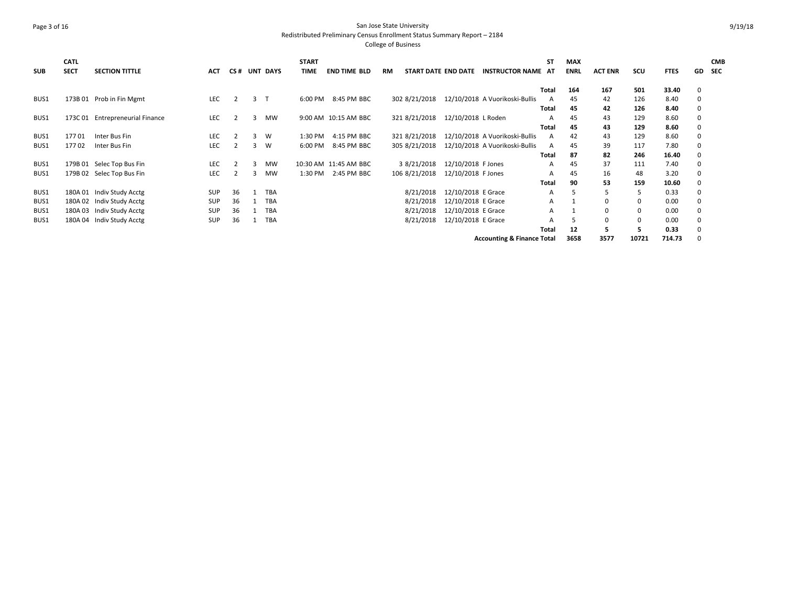## Page 3 of 16 San Jose State University Redistributed Preliminary Census Enrollment Status Summary Report – 2184

| <b>SUB</b> | <b>CATL</b><br><b>SECT</b> | <b>SECTION TITTLE</b>          | ACT        | CS#            |   | <b>UNT DAYS</b> | <b>START</b><br><b>TIME</b> | <b>END TIME BLD</b>   | RM | START DATE END DATE |                    | <b>INSTRUCTOR NAME</b>                | <b>ST</b><br>AT | <b>MAX</b><br><b>ENRL</b> | <b>ACT ENR</b> | scu   | <b>FTES</b> | GD.         | <b>CMB</b><br><b>SEC</b> |
|------------|----------------------------|--------------------------------|------------|----------------|---|-----------------|-----------------------------|-----------------------|----|---------------------|--------------------|---------------------------------------|-----------------|---------------------------|----------------|-------|-------------|-------------|--------------------------|
|            |                            |                                |            |                |   |                 |                             |                       |    |                     |                    |                                       | Total           | 164                       | 167            | 501   | 33.40       | $\mathbf 0$ |                          |
| BUS1       |                            | 173B 01 Prob in Fin Mgmt       | LEC        | $\overline{2}$ | 3 | $\mathsf{T}$    | 6:00 PM                     | 8:45 PM BBC           |    | 302 8/21/2018       |                    | 12/10/2018 A Vuorikoski-Bullis        | A               | 45                        | 42             | 126   | 8.40        | $\mathbf 0$ |                          |
|            |                            |                                |            |                |   |                 |                             |                       |    |                     |                    |                                       | Total           | 45                        | 42             | 126   | 8.40        | $\mathbf 0$ |                          |
| BUS1       | 173C 01                    | <b>Entrepreneurial Finance</b> | <b>LEC</b> |                | 3 | <b>MW</b>       |                             | 9:00 AM 10:15 AM BBC  |    | 321 8/21/2018       | 12/10/2018 L Roden |                                       | А               | 45                        | 43             | 129   | 8.60        | 0           |                          |
|            |                            |                                |            |                |   |                 |                             |                       |    |                     |                    |                                       | Total           | 45                        | 43             | 129   | 8.60        | 0           |                          |
| BUS1       | 17701                      | Inter Bus Fin                  | LEC        | -2             | 3 | W               | 1:30 PM                     | 4:15 PM BBC           |    | 321 8/21/2018       |                    | 12/10/2018 A Vuorikoski-Bullis        | A               | 42                        | 43             | 129   | 8.60        | $\mathbf 0$ |                          |
| BUS1       | 17702                      | Inter Bus Fin                  | <b>LEC</b> |                | 3 | W               | 6:00 PM                     | 8:45 PM BBC           |    | 305 8/21/2018       |                    | 12/10/2018 A Vuorikoski-Bullis        | A               | 45                        | 39             | 117   | 7.80        | 0           |                          |
|            |                            |                                |            |                |   |                 |                             |                       |    |                     |                    |                                       | Total           | 87                        | 82             | 246   | 16.40       | 0           |                          |
| BUS1       |                            | 179B 01 Selec Top Bus Fin      | LEC        |                | 3 | <b>MW</b>       |                             | 10:30 AM 11:45 AM BBC |    | 3 8/21/2018         | 12/10/2018 F Jones |                                       | A               | 45                        | 37             | 111   | 7.40        | $\mathbf 0$ |                          |
| BUS1       |                            | 179B 02 Selec Top Bus Fin      | LEC        |                | 3 | <b>MW</b>       | 1:30 PM                     | 2:45 PM BBC           |    | 106 8/21/2018       | 12/10/2018 F Jones |                                       | A               | 45                        | 16             | 48    | 3.20        | 0           |                          |
|            |                            |                                |            |                |   |                 |                             |                       |    |                     |                    |                                       | <b>Total</b>    | 90                        | 53             | 159   | 10.60       | 0           |                          |
| BUS1       |                            | 180A 01 Indiv Study Acctg      | SUP        | 36             |   | <b>TBA</b>      |                             |                       |    | 8/21/2018           | 12/10/2018 E Grace |                                       | A               |                           |                | 5     | 0.33        | $\Omega$    |                          |
| BUS1       |                            | 180A 02 Indiv Study Acctg      | <b>SUP</b> | 36             |   | <b>TBA</b>      |                             |                       |    | 8/21/2018           | 12/10/2018 E Grace |                                       | A               |                           | $\Omega$       |       | 0.00        | $\Omega$    |                          |
| BUS1       | 180A 03                    | Indiv Study Acctg              | <b>SUP</b> | 36             |   | <b>TBA</b>      |                             |                       |    | 8/21/2018           | 12/10/2018 E Grace |                                       | A               |                           | $\Omega$       |       | 0.00        | $\Omega$    |                          |
| BUS1       | 180A 04                    | Indiv Study Acctg              | <b>SUP</b> | 36             |   | <b>TBA</b>      |                             |                       |    | 8/21/2018           | 12/10/2018 E Grace |                                       | А               |                           | $\mathbf 0$    |       | 0.00        | 0           |                          |
|            |                            |                                |            |                |   |                 |                             |                       |    |                     |                    |                                       | Total           | 12                        |                |       | 0.33        |             |                          |
|            |                            |                                |            |                |   |                 |                             |                       |    |                     |                    | <b>Accounting &amp; Finance Total</b> |                 | 3658                      | 3577           | 10721 | 714.73      |             |                          |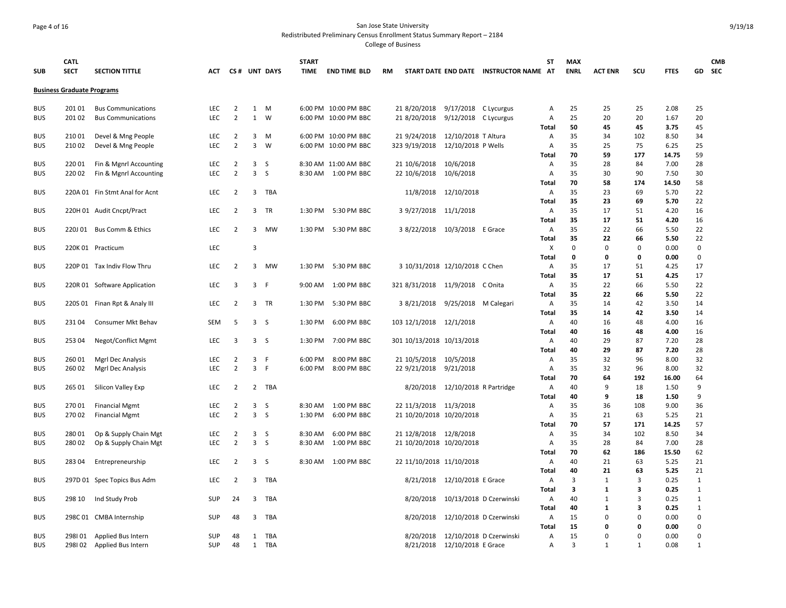### Page 4 of 16 San Jose State University Redistributed Preliminary Census Enrollment Status Summary Report – 2184

| <b>SUB</b>               | <b>CATL</b><br><b>SECT</b>        | <b>SECTION TITTLE</b>          | <b>ACT</b>        |                                  |                     | CS# UNT DAYS   | <b>START</b><br><b>TIME</b> | <b>END TIME BLD</b>        | <b>RM</b>                      |                                  | START DATE END DATE INSTRUCTOR NAME AT | <b>ST</b>           | <b>MAX</b><br><b>ENRL</b> | <b>ACT ENR</b> | SCU         | <b>FTES</b>  |              | <b>CMB</b><br>GD SEC |
|--------------------------|-----------------------------------|--------------------------------|-------------------|----------------------------------|---------------------|----------------|-----------------------------|----------------------------|--------------------------------|----------------------------------|----------------------------------------|---------------------|---------------------------|----------------|-------------|--------------|--------------|----------------------|
|                          | <b>Business Graduate Programs</b> |                                |                   |                                  |                     |                |                             |                            |                                |                                  |                                        |                     |                           |                |             |              |              |                      |
| <b>BUS</b>               | 201 01                            | <b>Bus Communications</b>      | LEC               | $\overline{2}$                   |                     | 1 M            |                             | 6:00 PM 10:00 PM BBC       | 21 8/20/2018                   | 9/17/2018 C Lycurgus             |                                        | Α                   | 25                        | 25             | 25          | 2.08         | 25           |                      |
| <b>BUS</b>               | 201 02                            | <b>Bus Communications</b>      | <b>LEC</b>        | $\overline{2}$                   | $\mathbf{1}$        | W              |                             | 6:00 PM 10:00 PM BBC       | 21 8/20/2018                   | 9/12/2018 C Lycurgus             |                                        | Α                   | 25                        | 20             | 20          | 1.67         | 20           |                      |
|                          |                                   |                                |                   |                                  |                     |                |                             |                            |                                |                                  |                                        | Total               | 50                        | 45             | 45          | 3.75         | 45           |                      |
| <b>BUS</b>               | 21001                             | Devel & Mng People             | LEC               | $\overline{2}$                   | 3                   | M              |                             | 6:00 PM 10:00 PM BBC       | 21 9/24/2018                   | 12/10/2018 T Altura              |                                        | A                   | 35                        | 34             | 102         | 8.50         | 34           |                      |
| <b>BUS</b>               | 21002                             | Devel & Mng People             | <b>LEC</b>        | $\overline{2}$                   | $\overline{3}$      | W              |                             | 6:00 PM 10:00 PM BBC       | 323 9/19/2018                  | 12/10/2018 P Wells               |                                        | Α                   | 35                        | 25             | 75          | 6.25         | 25           |                      |
|                          |                                   |                                |                   |                                  |                     |                |                             |                            |                                |                                  |                                        | <b>Total</b>        | 70                        | 59             | 177         | 14.75        | 59           |                      |
| <b>BUS</b>               | 22001                             | Fin & Mgnrl Accounting         | <b>LEC</b>        | 2<br>$\overline{2}$              | 3<br>$\overline{3}$ | S<br>S         |                             | 8:30 AM 11:00 AM BBC       | 21 10/6/2018                   | 10/6/2018                        |                                        | $\overline{A}$      | 35<br>35                  | 28             | 84          | 7.00<br>7.50 | 28           |                      |
| <b>BUS</b>               | 22002                             | Fin & Mgnrl Accounting         | LEC               |                                  |                     |                |                             | 8:30 AM 1:00 PM BBC        | 22 10/6/2018                   | 10/6/2018                        |                                        | Α<br><b>Total</b>   | 70                        | 30<br>58       | 90<br>174   | 14.50        | 30<br>58     |                      |
| <b>BUS</b>               |                                   | 220A 01 Fin Stmt Anal for Acnt | <b>LEC</b>        | $\overline{2}$                   | 3                   | TBA            |                             |                            |                                | 11/8/2018 12/10/2018             |                                        | Α                   | 35                        | 23             | 69          | 5.70         | 22           |                      |
|                          |                                   |                                |                   |                                  |                     |                |                             |                            |                                |                                  |                                        | <b>Total</b>        | 35                        | 23             | 69          | 5.70         | 22           |                      |
| <b>BUS</b>               |                                   | 220H 01 Audit Cncpt/Pract      | <b>LEC</b>        | 2                                | 3                   | TR             | 1:30 PM                     | 5:30 PM BBC                | 3 9/27/2018 11/1/2018          |                                  |                                        | $\overline{A}$      | 35                        | 17             | 51          | 4.20         | 16           |                      |
|                          |                                   |                                |                   |                                  |                     |                |                             |                            |                                |                                  |                                        | <b>Total</b>        | 35                        | 17             | 51          | 4.20         | 16           |                      |
| <b>BUS</b>               | 220J 01                           | <b>Bus Comm &amp; Ethics</b>   | LEC               | $\overline{2}$                   | 3                   | MW             | 1:30 PM                     | 5:30 PM BBC                | 3 8/22/2018                    | 10/3/2018 E Grace                |                                        | Α                   | 35                        | 22             | 66          | 5.50         | 22           |                      |
|                          |                                   |                                |                   |                                  |                     |                |                             |                            |                                |                                  |                                        | Total               | 35                        | 22             | 66          | 5.50         | 22           |                      |
| <b>BUS</b>               |                                   | 220K 01 Practicum              | LEC               |                                  | $\overline{3}$      |                |                             |                            |                                |                                  |                                        | X                   | 0                         | $\mathbf 0$    | $\mathbf 0$ | 0.00         | 0            |                      |
|                          |                                   |                                |                   |                                  |                     |                |                             |                            |                                |                                  |                                        | <b>Total</b>        | 0                         | 0              | 0           | 0.00         | $\mathbf 0$  |                      |
| <b>BUS</b>               |                                   | 220P 01 Tax Indiv Flow Thru    | LEC               | 2                                | 3                   | MW             | 1:30 PM                     | 5:30 PM BBC                | 3 10/31/2018 12/10/2018 C Chen |                                  |                                        | Α                   | 35                        | 17             | 51          | 4.25         | 17           |                      |
|                          |                                   |                                |                   |                                  |                     |                |                             |                            |                                |                                  |                                        | <b>Total</b>        | 35                        | 17             | 51          | 4.25         | 17           |                      |
| <b>BUS</b>               |                                   | 220R 01 Software Application   | LEC               | 3                                |                     | 3 F            | 9:00 AM                     | 1:00 PM BBC                | 321 8/31/2018                  | 11/9/2018 C Onita                |                                        | Α                   | 35                        | 22             | 66          | 5.50         | 22           |                      |
|                          |                                   |                                |                   |                                  |                     |                |                             |                            |                                |                                  |                                        | <b>Total</b>        | 35                        | 22             | 66          | 5.50         | 22           |                      |
| <b>BUS</b>               |                                   | 220S 01 Finan Rpt & Analy III  | LEC               | $\overline{2}$                   | 3                   | TR             | 1:30 PM                     | 5:30 PM BBC                | 3 8/21/2018                    | 9/25/2018 M Calegari             |                                        | Α                   | 35                        | 14             | 42          | 3.50         | 14           |                      |
|                          |                                   |                                |                   |                                  |                     |                |                             |                            |                                |                                  |                                        | <b>Total</b>        | 35                        | 14             | 42          | 3.50         | 14           |                      |
| <b>BUS</b>               | 23104                             | Consumer Mkt Behav             | SEM               | 5                                |                     | 3S             | 1:30 PM                     | 6:00 PM BBC                | 103 12/1/2018 12/1/2018        |                                  |                                        | Α                   | 40                        | 16             | 48          | 4.00         | 16           |                      |
|                          |                                   |                                |                   |                                  |                     |                |                             |                            |                                |                                  |                                        | <b>Total</b>        | 40                        | 16             | 48          | 4.00         | 16           |                      |
| <b>BUS</b>               | 253 04                            | Negot/Conflict Mgmt            | LEC               | 3                                |                     | 3 <sub>5</sub> | 1:30 PM                     | 7:00 PM BBC                | 301 10/13/2018 10/13/2018      |                                  |                                        | A                   | 40                        | 29             | 87          | 7.20         | 28           |                      |
|                          |                                   |                                |                   |                                  |                     |                |                             |                            |                                |                                  |                                        | Total               | 40                        | 29             | 87          | 7.20         | 28           |                      |
| <b>BUS</b>               | 26001                             | Mgrl Dec Analysis              | LEC               | 2                                | 3                   | - F            | 6:00 PM                     | 8:00 PM BBC                | 21 10/5/2018                   | 10/5/2018                        |                                        | Α                   | 35                        | 32             | 96          | 8.00         | 32           |                      |
| <b>BUS</b>               | 260 02                            | Mgrl Dec Analysis              | <b>LEC</b>        | $\overline{2}$                   |                     | 3 F            | 6:00 PM                     | 8:00 PM BBC                | 22 9/21/2018 9/21/2018         |                                  |                                        | Α                   | 35                        | 32             | 96          | 8.00         | 32           |                      |
|                          |                                   |                                |                   |                                  |                     |                |                             |                            |                                |                                  |                                        | <b>Total</b>        | 70                        | 64             | 192         | 16.00        | 64           |                      |
| <b>BUS</b>               | 265 01                            | Silicon Valley Exp             | LEC               | $\overline{2}$                   |                     | 2 TBA          |                             |                            |                                | 8/20/2018 12/10/2018 R Partridge |                                        | Α                   | 40                        | 9              | 18          | 1.50         | 9            |                      |
|                          |                                   |                                |                   |                                  |                     |                |                             |                            |                                |                                  |                                        | Total               | 40                        | 9              | 18          | 1.50         | 9            |                      |
| <b>BUS</b><br><b>BUS</b> | 27001                             | <b>Financial Mgmt</b>          | LEC<br><b>LEC</b> | $\overline{2}$<br>$\overline{2}$ | 3                   | S<br>3S        | 8:30 AM<br>1:30 PM          | 1:00 PM BBC<br>6:00 PM BBC | 22 11/3/2018 11/3/2018         |                                  |                                        | Α<br>$\overline{A}$ | 35<br>35                  | 36<br>21       | 108         | 9.00<br>5.25 | 36<br>21     |                      |
|                          | 27002                             | <b>Financial Mgmt</b>          |                   |                                  |                     |                |                             |                            | 21 10/20/2018 10/20/2018       |                                  |                                        | <b>Total</b>        | 70                        | 57             | 63<br>171   | 14.25        | 57           |                      |
| <b>BUS</b>               | 28001                             | Op & Supply Chain Mgt          | LEC               | 2                                |                     | 3 <sub>5</sub> | 8:30 AM                     | 6:00 PM BBC                | 21 12/8/2018 12/8/2018         |                                  |                                        | A                   | 35                        | 34             | 102         | 8.50         | 34           |                      |
| <b>BUS</b>               | 28002                             | Op & Supply Chain Mgt          | LEC               | $\overline{2}$                   | 3                   | <sub>S</sub>   | 8:30 AM                     | 1:00 PM BBC                | 21 10/20/2018 10/20/2018       |                                  |                                        | A                   | 35                        | 28             | 84          | 7.00         | 28           |                      |
|                          |                                   |                                |                   |                                  |                     |                |                             |                            |                                |                                  |                                        | <b>Total</b>        | 70                        | 62             | 186         | 15.50        | 62           |                      |
| <b>BUS</b>               | 28304                             | Entrepreneurship               | LEC               | 2                                |                     | 3 <sub>5</sub> | 8:30 AM                     | 1:00 PM BBC                | 22 11/10/2018 11/10/2018       |                                  |                                        | Α                   | 40                        | 21             | 63          | 5.25         | 21           |                      |
|                          |                                   |                                |                   |                                  |                     |                |                             |                            |                                |                                  |                                        | <b>Total</b>        | 40                        | 21             | 63          | 5.25         | 21           |                      |
| <b>BUS</b>               |                                   | 297D 01 Spec Topics Bus Adm    | <b>LEC</b>        | $\overline{2}$                   | 3                   | TBA            |                             |                            |                                | 8/21/2018 12/10/2018 E Grace     |                                        | $\overline{A}$      | 3                         | $\mathbf{1}$   | 3           | 0.25         | $\mathbf{1}$ |                      |
|                          |                                   |                                |                   |                                  |                     |                |                             |                            |                                |                                  |                                        | Total               | 3                         | 1              | 3           | 0.25         | $\mathbf{1}$ |                      |
| <b>BUS</b>               | 298 10                            | Ind Study Prob                 | SUP               | 24                               | 3                   | TBA            |                             |                            | 8/20/2018                      |                                  | 10/13/2018 D Czerwinski                | Α                   | 40                        | 1              | 3           | 0.25         | $\mathbf{1}$ |                      |
|                          |                                   |                                |                   |                                  |                     |                |                             |                            |                                |                                  |                                        | Total               | 40                        | 1              | 3           | 0.25         | $\mathbf{1}$ |                      |
| <b>BUS</b>               |                                   | 298C 01 CMBA Internship        | <b>SUP</b>        | 48                               | 3                   | TBA            |                             |                            | 8/20/2018                      |                                  | 12/10/2018 D Czerwinski                | Α                   | 15                        | 0              | $\Omega$    | 0.00         | 0            |                      |
|                          |                                   |                                |                   |                                  |                     |                |                             |                            |                                |                                  |                                        | <b>Total</b>        | 15                        | 0              | $\Omega$    | 0.00         | 0            |                      |
| <b>BUS</b>               | 298101                            | Applied Bus Intern             | SUP               | 48                               | 1                   | TBA            |                             |                            | 8/20/2018                      |                                  | 12/10/2018 D Czerwinski                | Α                   | 15                        | $\Omega$       | $\Omega$    | 0.00         | $\mathbf 0$  |                      |
| <b>BUS</b>               | 298102                            | Applied Bus Intern             | SUP               | 48                               | 1                   | TBA            |                             |                            | 8/21/2018                      | 12/10/2018 E Grace               |                                        | A                   | 3                         | 1              | 1           | 0.08         | $\mathbf{1}$ |                      |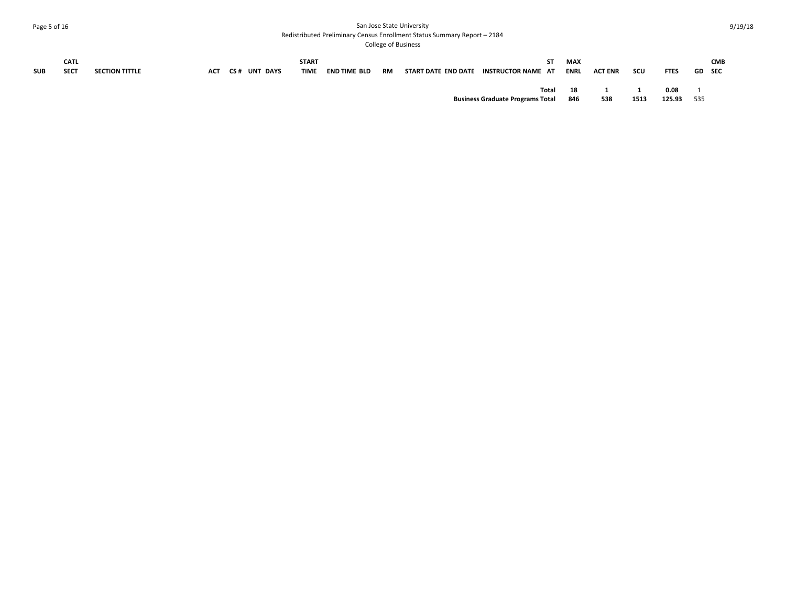# Page 5 of 16 San Jose State University Redistributed Preliminary Census Enrollment Status Summary Report – 2184

| <b>SUB</b> | <b>CATL</b><br><b>SECT</b> | <b>SECTION TITTLE</b> | <b>ACT</b> | <b>CS# UNT DAYS</b> | <b>START</b><br><b>TIME</b> | <b>END TIME BLD</b> | RM | START DATE END DATE | SТ<br>INSTRUCTOR NAME AT                         | MAX<br>ENRL | <b>ACT ENR</b> | scu  | <b>FTES</b>    | GD  | <b>CMB</b><br><b>SEC</b> |
|------------|----------------------------|-----------------------|------------|---------------------|-----------------------------|---------------------|----|---------------------|--------------------------------------------------|-------------|----------------|------|----------------|-----|--------------------------|
|            |                            |                       |            |                     |                             |                     |    |                     | Total<br><b>Business Graduate Programs Total</b> | 18<br>846   | 538            | 1513 | 0.08<br>125.93 | 535 |                          |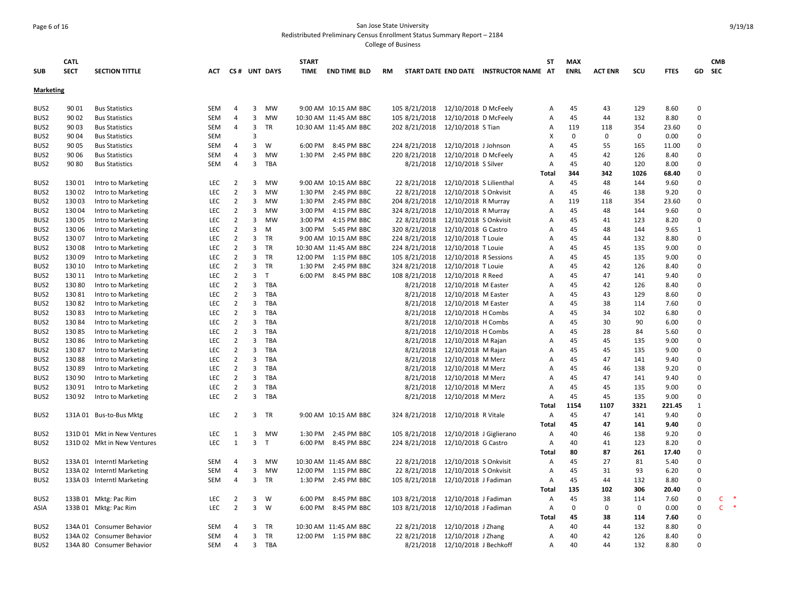### Page 6 of 16 San Jose State University Redistributed Preliminary Census Enrollment Status Summary Report – 2184

| <b>SUB</b>       | <b>CATL</b><br><b>SECT</b> | <b>SECTION TITTLE</b>       | ACT        |                |   | CS# UNT DAYS | <b>START</b><br><b>TIME</b> | <b>END TIME BLD</b>   | RM |               |                         | START DATE END DATE INSTRUCTOR NAME AT | SΤ           | <b>MAX</b><br><b>ENRL</b> | <b>ACT ENR</b> | SCU         | <b>FTES</b> | GD           | <b>CMB</b><br><b>SEC</b> |
|------------------|----------------------------|-----------------------------|------------|----------------|---|--------------|-----------------------------|-----------------------|----|---------------|-------------------------|----------------------------------------|--------------|---------------------------|----------------|-------------|-------------|--------------|--------------------------|
| <b>Marketing</b> |                            |                             |            |                |   |              |                             |                       |    |               |                         |                                        |              |                           |                |             |             |              |                          |
| BUS2             | 90 01                      | <b>Bus Statistics</b>       | SEM        | 4              | 3 | MW           |                             | 9:00 AM 10:15 AM BBC  |    | 105 8/21/2018 | 12/10/2018 D McFeely    |                                        | A            | 45                        | 43             | 129         | 8.60        | $\Omega$     |                          |
| BUS2             | 90 02                      | <b>Bus Statistics</b>       | <b>SEM</b> | 4              | 3 | <b>MW</b>    |                             | 10:30 AM 11:45 AM BBC |    | 105 8/21/2018 | 12/10/2018 D McFeely    |                                        | A            | 45                        | 44             | 132         | 8.80        | $\mathbf 0$  |                          |
| BUS <sub>2</sub> | 90 03                      | <b>Bus Statistics</b>       | <b>SEM</b> | 4              | 3 | TR           |                             | 10:30 AM 11:45 AM BBC |    | 202 8/21/2018 | 12/10/2018 S Tian       |                                        | Α            | 119                       | 118            | 354         | 23.60       | $\Omega$     |                          |
| BUS <sub>2</sub> | 90 04                      | <b>Bus Statistics</b>       | <b>SEM</b> |                | 3 |              |                             |                       |    |               |                         |                                        | х            | $\Omega$                  | 0              | $\mathbf 0$ | 0.00        | $\Omega$     |                          |
| BUS2             | 90 05                      | <b>Bus Statistics</b>       | SEM        | 4              | 3 | W            | 6:00 PM                     | 8:45 PM BBC           |    | 224 8/21/2018 | 12/10/2018 J Johnson    |                                        | A            | 45                        | 55             | 165         | 11.00       | $\Omega$     |                          |
| BUS <sub>2</sub> | 90 06                      | <b>Bus Statistics</b>       | SEM        | 4              | 3 | MW           |                             | 1:30 PM 2:45 PM BBC   |    | 220 8/21/2018 | 12/10/2018 D McFeely    |                                        | A            | 45                        | 42             | 126         | 8.40        | $\Omega$     |                          |
| BUS2             | 90 80                      | <b>Bus Statistics</b>       | <b>SEM</b> | 4              | 3 | TBA          |                             |                       |    | 8/21/2018     | 12/10/2018 S Silver     |                                        | Α            | 45                        | 40             | 120         | 8.00        | $\Omega$     |                          |
|                  |                            |                             |            |                |   |              |                             |                       |    |               |                         |                                        | <b>Total</b> | 344                       | 342            | 1026        | 68.40       | $\Omega$     |                          |
| BUS <sub>2</sub> | 13001                      | Intro to Marketing          | <b>LEC</b> | 2              | 3 | MW           |                             | 9:00 AM 10:15 AM BBC  |    | 22 8/21/2018  | 12/10/2018 S Lilienthal |                                        | Α            | 45                        | 48             | 144         | 9.60        | $\Omega$     |                          |
| BUS2             | 13002                      | Intro to Marketing          | LEC        | $\overline{2}$ | 3 | MW           | 1:30 PM                     | 2:45 PM BBC           |    | 22 8/21/2018  | 12/10/2018 S Onkvisit   |                                        | Α            | 45                        | 46             | 138         | 9.20        | $\Omega$     |                          |
| BUS <sub>2</sub> | 13003                      | Intro to Marketing          | LEC        | $\overline{2}$ | 3 | MW           | 1:30 PM                     | 2:45 PM BBC           |    | 204 8/21/2018 | 12/10/2018 R Murray     |                                        | Α            | 119                       | 118            | 354         | 23.60       | $\Omega$     |                          |
| BUS <sub>2</sub> | 13004                      | Intro to Marketing          | <b>LEC</b> | 2              | 3 | MW           | 3:00 PM                     | 4:15 PM BBC           |    | 324 8/21/2018 | 12/10/2018 R Murray     |                                        | Α            | 45                        | 48             | 144         | 9.60        | $\Omega$     |                          |
| BUS <sub>2</sub> | 130 05                     | Intro to Marketing          | LEC        | $\overline{2}$ | 3 | MW           | 3:00 PM                     | 4:15 PM BBC           |    | 22 8/21/2018  | 12/10/2018 S Onkvisit   |                                        | Α            | 45                        | 41             | 123         | 8.20        | $\mathbf 0$  |                          |
| BUS <sub>2</sub> | 130 06                     | Intro to Marketing          | <b>LEC</b> | $\overline{2}$ | 3 | M            | 3:00 PM                     | 5:45 PM BBC           |    | 320 8/21/2018 | 12/10/2018 G Castro     |                                        | A            | 45                        | 48             | 144         | 9.65        | $\mathbf{1}$ |                          |
| BUS2             | 13007                      | Intro to Marketing          | <b>LEC</b> | $\overline{2}$ | 3 | <b>TR</b>    |                             | 9:00 AM 10:15 AM BBC  |    | 224 8/21/2018 | 12/10/2018 T Louie      |                                        | A            | 45                        | 44             | 132         | 8.80        | $\Omega$     |                          |
| BUS2             | 13008                      | Intro to Marketing          | LEC        | $\overline{2}$ | 3 | TR           |                             | 10:30 AM 11:45 AM BBC |    | 224 8/21/2018 | 12/10/2018 T Louie      |                                        | Α            | 45                        | 45             | 135         | 9.00        | $\Omega$     |                          |
| BUS <sub>2</sub> | 13009                      | Intro to Marketing          | <b>LEC</b> | $\overline{2}$ | 3 | <b>TR</b>    | 12:00 PM                    | 1:15 PM BBC           |    | 105 8/21/2018 | 12/10/2018 R Sessions   |                                        | Α            | 45                        | 45             | 135         | 9.00        | $\Omega$     |                          |
| BUS <sub>2</sub> | 130 10                     | Intro to Marketing          | LEC        | $\overline{2}$ | 3 | <b>TR</b>    | 1:30 PM                     | 2:45 PM BBC           |    | 324 8/21/2018 | 12/10/2018 T Louie      |                                        | Α            | 45                        | 42             | 126         | 8.40        | $\Omega$     |                          |
| BUS2             | 130 11                     | Intro to Marketing          | <b>LEC</b> | $\overline{2}$ | 3 | T            | 6:00 PM                     | 8:45 PM BBC           |    | 108 8/21/2018 | 12/10/2018 R Reed       |                                        | A            | 45                        | 47             | 141         | 9.40        | $\Omega$     |                          |
| BUS <sub>2</sub> | 130 80                     | Intro to Marketing          | <b>LEC</b> | $\overline{2}$ | 3 | <b>TBA</b>   |                             |                       |    | 8/21/2018     | 12/10/2018 M Easter     |                                        | A            | 45                        | 42             | 126         | 8.40        | $\Omega$     |                          |
| BUS2             | 13081                      | Intro to Marketing          | LEC        | $\overline{2}$ | 3 | TBA          |                             |                       |    | 8/21/2018     | 12/10/2018 M Easter     |                                        | Α            | 45                        | 43             | 129         | 8.60        | $\Omega$     |                          |
| BUS <sub>2</sub> | 13082                      | Intro to Marketing          | <b>LEC</b> | $\overline{2}$ | 3 | <b>TBA</b>   |                             |                       |    | 8/21/2018     | 12/10/2018 M Easter     |                                        | A            | 45                        | 38             | 114         | 7.60        | $\Omega$     |                          |
| BUS2             | 13083                      | Intro to Marketing          | LEC        | $\overline{2}$ | 3 | <b>TBA</b>   |                             |                       |    | 8/21/2018     | 12/10/2018 H Combs      |                                        | Α            | 45                        | 34             | 102         | 6.80        | $\Omega$     |                          |
| BUS2             | 13084                      | Intro to Marketing          | LEC        | $\overline{2}$ | 3 | TBA          |                             |                       |    | 8/21/2018     | 12/10/2018 H Combs      |                                        | A            | 45                        | 30             | 90          | 6.00        | $\Omega$     |                          |
| BUS <sub>2</sub> | 13085                      | Intro to Marketing          | <b>LEC</b> | $\overline{2}$ | 3 | <b>TBA</b>   |                             |                       |    | 8/21/2018     | 12/10/2018 H Combs      |                                        | A            | 45                        | 28             | 84          | 5.60        | $\Omega$     |                          |
| BUS2             | 130 86                     | Intro to Marketing          | LEC        | $\overline{2}$ | 3 | TBA          |                             |                       |    | 8/21/2018     | 12/10/2018 M Rajan      |                                        | Α            | 45                        | 45             | 135         | 9.00        | $\Omega$     |                          |
| BUS <sub>2</sub> | 13087                      | Intro to Marketing          | <b>LEC</b> | $\overline{2}$ | 3 | TBA          |                             |                       |    | 8/21/2018     | 12/10/2018 M Rajan      |                                        | A            | 45                        | 45             | 135         | 9.00        | $\Omega$     |                          |
| BUS <sub>2</sub> | 13088                      | Intro to Marketing          | <b>LEC</b> | $\overline{2}$ | 3 | <b>TBA</b>   |                             |                       |    | 8/21/2018     | 12/10/2018 M Merz       |                                        | Α            | 45                        | 47             | 141         | 9.40        | $\Omega$     |                          |
| BUS2             | 13089                      | Intro to Marketing          | LEC        | $\overline{2}$ | 3 | TBA          |                             |                       |    | 8/21/2018     | 12/10/2018 M Merz       |                                        | Α            | 45                        | 46             | 138         | 9.20        | $\Omega$     |                          |
| BUS <sub>2</sub> | 130 90                     | Intro to Marketing          | LEC        | $\overline{2}$ | 3 | <b>TBA</b>   |                             |                       |    | 8/21/2018     | 12/10/2018 M Merz       |                                        | A            | 45                        | 47             | 141         | 9.40        | $\Omega$     |                          |
| BUS <sub>2</sub> | 130 91                     | Intro to Marketing          | LEC        | $\overline{2}$ | 3 | TBA          |                             |                       |    | 8/21/2018     | 12/10/2018 M Merz       |                                        | Α            | 45                        | 45             | 135         | 9.00        | $\Omega$     |                          |
| BUS <sub>2</sub> | 130 92                     | Intro to Marketing          | LEC        | $\overline{2}$ | 3 | <b>TBA</b>   |                             |                       |    | 8/21/2018     | 12/10/2018 M Merz       |                                        | Α            | 45                        | 45             | 135         | 9.00        | $\Omega$     |                          |
|                  |                            |                             |            |                |   |              |                             |                       |    |               |                         |                                        | Total        | 1154                      | 1107           | 3321        | 221.45      | $\mathbf{1}$ |                          |
| BUS2             |                            | 131A 01 Bus-to-Bus Mktg     | LEC        | $\overline{2}$ |   | 3 TR         |                             | 9:00 AM 10:15 AM BBC  |    | 324 8/21/2018 | 12/10/2018 R Vitale     |                                        | Α            | 45                        | 47             | 141         | 9.40        | $\Omega$     |                          |
|                  |                            |                             |            |                |   |              |                             |                       |    |               |                         |                                        | Total        | 45                        | 47             | 141         | 9.40        | $\Omega$     |                          |
| BUS <sub>2</sub> |                            | 131D 01 Mkt in New Ventures | LEC        | 1              | 3 | MW           | 1:30 PM                     | 2:45 PM BBC           |    | 105 8/21/2018 | 12/10/2018 J Giglierano |                                        | Α            | 40                        | 46             | 138         | 9.20        | $\Omega$     |                          |
| BUS <sub>2</sub> |                            | 131D 02 Mkt in New Ventures | LEC        | 1              | 3 | $\mathsf{T}$ | 6:00 PM                     | 8:45 PM BBC           |    | 224 8/21/2018 | 12/10/2018 G Castro     |                                        | Α            | 40                        | 41             | 123         | 8.20        | $\Omega$     |                          |
|                  |                            |                             |            |                |   |              |                             |                       |    |               |                         |                                        | <b>Total</b> | 80                        | 87             | 261         | 17.40       | $\Omega$     |                          |
| BUS2             |                            | 133A 01 Interntl Marketing  | SEM        | 4              |   | 3 MW         |                             | 10:30 AM 11:45 AM BBC |    | 22 8/21/2018  | 12/10/2018 S Onkvisit   |                                        | Α            | 45                        | 27             | 81          | 5.40        | $\Omega$     |                          |
| BUS2             |                            | 133A 02 Interntl Marketing  | <b>SEM</b> | 4              | 3 | <b>MW</b>    | 12:00 PM                    | 1:15 PM BBC           |    | 22 8/21/2018  | 12/10/2018 S Onkvisit   |                                        | A            | 45                        | 31             | 93          | 6.20        | $\Omega$     |                          |
| BUS <sub>2</sub> |                            | 133A 03 Interntl Marketing  | <b>SEM</b> | 4              | 3 | TR           | 1:30 PM                     | 2:45 PM BBC           |    | 105 8/21/2018 | 12/10/2018 J Fadiman    |                                        | Α            | 45                        | 44             | 132         | 8.80        | $\Omega$     |                          |
|                  |                            |                             |            |                |   |              |                             |                       |    |               |                         |                                        | Total        | 135                       | 102            | 306         | 20.40       | $\mathbf 0$  |                          |
| BUS <sub>2</sub> |                            | 133B 01 Mktg: Pac Rim       | <b>LEC</b> | $\overline{2}$ | 3 | W            | 6:00 PM                     | 8:45 PM BBC           |    | 103 8/21/2018 | 12/10/2018 J Fadiman    |                                        | Α            | 45                        | 38             | 114         | 7.60        | $\mathbf{0}$ | 一味<br>C                  |
| ASIA             |                            | 133B 01 Mktg: Pac Rim       | <b>LEC</b> | 2              | 3 | W            | 6:00 PM                     | 8:45 PM BBC           |    | 103 8/21/2018 | 12/10/2018 J Fadiman    |                                        | $\mathsf{A}$ | $\Omega$                  | 0              | 0           | 0.00        | $\Omega$     | $\rightarrow$<br>C       |
|                  |                            |                             |            |                |   |              |                             |                       |    |               |                         |                                        | <b>Total</b> | 45                        | 38             | 114         | 7.60        | $\mathbf 0$  |                          |
| BUS <sub>2</sub> |                            | 134A 01 Consumer Behavior   | <b>SEM</b> | 4              | 3 | TR           |                             | 10:30 AM 11:45 AM BBC |    | 22 8/21/2018  | 12/10/2018 J Zhang      |                                        | Α            | 40                        | 44             | 132         | 8.80        | $\Omega$     |                          |
| BUS2             |                            | 134A 02 Consumer Behavior   | <b>SEM</b> | 4              | 3 | <b>TR</b>    |                             | 12:00 PM 1:15 PM BBC  |    | 22 8/21/2018  | 12/10/2018 J Zhang      |                                        | Α            | 40                        | 42             | 126         | 8.40        | $\Omega$     |                          |
| BUS2             |                            | 134A 80 Consumer Behavior   | SEM        | $\overline{4}$ | 3 | TBA          |                             |                       |    | 8/21/2018     | 12/10/2018 J Bechkoff   |                                        | Α            | 40                        | 44             | 132         | 8.80        | $\Omega$     |                          |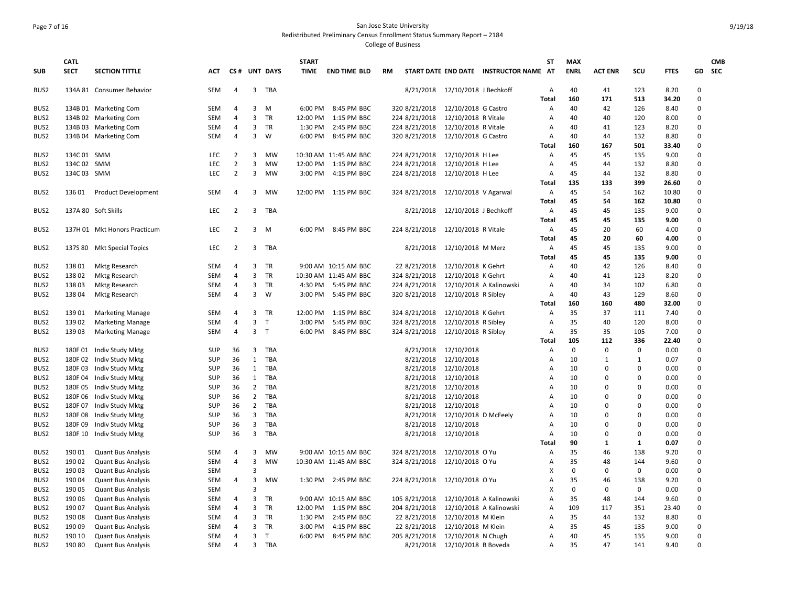# Page 7 of 16 San Jose State University Redistributed Preliminary Census Enrollment Status Summary Report – 2184

| <b>SUB</b>       | <b>CATL</b><br><b>SECT</b> | <b>SECTION TITTLE</b>        | ACT        |                         |                | CS# UNT DAYS | <b>START</b><br><b>TIME</b> | <b>END TIME BLD</b>   | RM            |                       | START DATE END DATE INSTRUCTOR NAME AT | <b>ST</b>  | <b>MAX</b><br><b>ENRL</b> | <b>ACT ENR</b> | SCU          | <b>FTES</b>   |                      | <b>CMB</b><br>GD SEC |
|------------------|----------------------------|------------------------------|------------|-------------------------|----------------|--------------|-----------------------------|-----------------------|---------------|-----------------------|----------------------------------------|------------|---------------------------|----------------|--------------|---------------|----------------------|----------------------|
|                  |                            |                              |            |                         |                |              |                             |                       |               |                       |                                        |            |                           |                |              |               |                      |                      |
| BUS <sub>2</sub> |                            | 134A 81 Consumer Behavior    | <b>SEM</b> | 4                       | $\mathbf{3}$   | TBA          |                             |                       | 8/21/2018     | 12/10/2018 J Bechkoff |                                        | Α          | 40                        | 41             | 123          | 8.20          | $\Omega$             |                      |
|                  |                            |                              |            |                         |                |              |                             |                       |               |                       |                                        | Total      | 160                       | 171            | 513          | 34.20         | $\Omega$             |                      |
| BUS <sub>2</sub> |                            | 134B 01 Marketing Com        | <b>SEM</b> | 4                       | 3              | M            | 6:00 PM                     | 8:45 PM BBC           | 320 8/21/2018 | 12/10/2018 G Castro   |                                        | Α          | 40                        | 42             | 126          | 8.40          | $\Omega$             |                      |
| BUS <sub>2</sub> |                            | 134B 02 Marketing Com        | <b>SEM</b> | $\overline{4}$          | 3              | TR           | 12:00 PM                    | 1:15 PM BBC           | 224 8/21/2018 | 12/10/2018 R Vitale   |                                        | A          | 40                        | 40             | 120          | 8.00          | $\Omega$<br>$\Omega$ |                      |
| BUS <sub>2</sub> |                            | 134B 03 Marketing Com        | <b>SEM</b> | 4<br>4                  | 3<br>3         | TR           | 1:30 PM                     | 2:45 PM BBC           | 224 8/21/2018 | 12/10/2018 R Vitale   |                                        | A          | 40                        | 41<br>44       | 123          | 8.20          | $\Omega$             |                      |
| BUS2             |                            | 134B 04 Marketing Com        | <b>SEM</b> |                         |                | W            | 6:00 PM                     | 8:45 PM BBC           | 320 8/21/2018 | 12/10/2018 G Castro   |                                        | А<br>Total | 40<br>160                 | 167            | 132<br>501   | 8.80<br>33.40 | $\Omega$             |                      |
| BUS <sub>2</sub> | 134C 01 SMM                |                              | LEC        | $\overline{2}$          | 3              | MW           |                             | 10:30 AM 11:45 AM BBC | 224 8/21/2018 | 12/10/2018 H Lee      |                                        | Α          | 45                        | 45             | 135          | 9.00          | $\Omega$             |                      |
| BUS <sub>2</sub> | 134C 02 SMM                |                              | LEC        | $\overline{2}$          | 3              | <b>MW</b>    | 12:00 PM                    | 1:15 PM BBC           | 224 8/21/2018 | 12/10/2018 H Lee      |                                        | A          | 45                        | 44             | 132          | 8.80          | $\Omega$             |                      |
| BUS <sub>2</sub> | 134C 03 SMM                |                              | LEC        | $\overline{2}$          | 3              | MW           | 3:00 PM                     | 4:15 PM BBC           | 224 8/21/2018 | 12/10/2018 H Lee      |                                        | A          | 45                        | 44             | 132          | 8.80          | $\Omega$             |                      |
|                  |                            |                              |            |                         |                |              |                             |                       |               |                       |                                        | Total      | 135                       | 133            | 399          | 26.60         | $\Omega$             |                      |
| BUS <sub>2</sub> | 13601                      | <b>Product Development</b>   | <b>SEM</b> | 4                       | 3              | <b>MW</b>    | 12:00 PM                    | 1:15 PM BBC           | 324 8/21/2018 | 12/10/2018 V Agarwal  |                                        | A          | 45                        | 54             | 162          | 10.80         | $\Omega$             |                      |
|                  |                            |                              |            |                         |                |              |                             |                       |               |                       |                                        | Total      | 45                        | 54             | 162          | 10.80         | $\Omega$             |                      |
| BUS <sub>2</sub> |                            | 137A 80 Soft Skills          | LEC        | $\overline{2}$          | $\overline{3}$ | TBA          |                             |                       | 8/21/2018     | 12/10/2018 J Bechkoff |                                        | A          | 45                        | 45             | 135          | 9.00          | $\Omega$             |                      |
|                  |                            |                              |            |                         |                |              |                             |                       |               |                       |                                        | Total      | 45                        | 45             | 135          | 9.00          | $\mathbf 0$          |                      |
| BUS2             |                            | 137H 01 Mkt Honors Practicum | LEC        | $\overline{2}$          | 3              | M            |                             | 6:00 PM 8:45 PM BBC   | 224 8/21/2018 | 12/10/2018 R Vitale   |                                        | Α          | 45                        | 20             | 60           | 4.00          | $\Omega$             |                      |
|                  |                            |                              |            |                         |                |              |                             |                       |               |                       |                                        | Total      | 45                        | 20             | 60           | 4.00          | $\Omega$             |                      |
| BUS2             |                            | 137S 80 Mkt Special Topics   | LEC        | $\overline{2}$          | 3              | TBA          |                             |                       | 8/21/2018     | 12/10/2018 M Merz     |                                        | А          | 45                        | 45             | 135          | 9.00          | $\Omega$             |                      |
|                  |                            |                              |            |                         |                |              |                             |                       |               |                       |                                        | Total      | 45                        | 45             | 135          | 9.00          | $\Omega$             |                      |
| BUS2             | 13801                      | <b>Mktg Research</b>         | <b>SEM</b> | $\overline{4}$          | 3              | TR           |                             | 9:00 AM 10:15 AM BBC  | 22 8/21/2018  | 12/10/2018 K Gehrt    |                                        | А          | 40                        | 42             | 126          | 8.40          | $\mathbf 0$          |                      |
| BUS <sub>2</sub> | 13802                      | <b>Mktg Research</b>         | <b>SEM</b> | 4                       | 3              | TR           |                             | 10:30 AM 11:45 AM BBC | 324 8/21/2018 | 12/10/2018 K Gehrt    |                                        | A          | 40                        | 41             | 123          | 8.20          | $\Omega$             |                      |
| BUS <sub>2</sub> | 13803                      | Mktg Research                | <b>SEM</b> | 4                       | 3              | TR           | 4:30 PM                     | 5:45 PM BBC           | 224 8/21/2018 |                       | 12/10/2018 A Kalinowski                | A          | 40                        | 34             | 102          | 6.80          | $\Omega$             |                      |
| BUS2             | 13804                      | <b>Mktg Research</b>         | <b>SEM</b> | $\overline{\mathbf{A}}$ | 3              | W            | 3:00 PM                     | 5:45 PM BBC           | 320 8/21/2018 | 12/10/2018 R Sibley   |                                        | А          | 40                        | 43             | 129          | 8.60          | $\mathbf 0$          |                      |
|                  |                            |                              |            |                         |                |              |                             |                       |               |                       |                                        | Total      | 160                       | 160            | 480          | 32.00         | $\Omega$             |                      |
| BUS2             | 13901                      | <b>Marketing Manage</b>      | <b>SEM</b> | 4                       | 3              | TR           | 12:00 PM                    | 1:15 PM BBC           | 324 8/21/2018 | 12/10/2018 K Gehrt    |                                        | А          | 35                        | 37             | 111          | 7.40          | $\mathbf 0$          |                      |
| BUS <sub>2</sub> | 13902                      | <b>Marketing Manage</b>      | <b>SEM</b> | $\overline{4}$          | 3              | T            | 3:00 PM                     | 5:45 PM BBC           | 324 8/21/2018 | 12/10/2018 R Sibley   |                                        | A          | 35                        | 40             | 120          | 8.00          | $\Omega$             |                      |
| BUS <sub>2</sub> | 13903                      | <b>Marketing Manage</b>      | <b>SEM</b> | 4                       | 3 <sub>7</sub> |              | 6:00 PM                     | 8:45 PM BBC           | 324 8/21/2018 | 12/10/2018 R Sibley   |                                        | Α          | 35                        | 35             | 105          | 7.00          | $\Omega$             |                      |
|                  |                            |                              |            |                         |                |              |                             |                       |               |                       |                                        | Total      | 105                       | 112            | 336          | 22.40         | $\Omega$             |                      |
| BUS <sub>2</sub> | 180F01                     | Indiv Study Mktg             | <b>SUP</b> | 36                      | $\mathbf{3}$   | TBA          |                             |                       | 8/21/2018     | 12/10/2018            |                                        | A          | $\mathbf 0$               | $\mathbf 0$    | $\mathbf 0$  | 0.00          | $\mathbf 0$          |                      |
| BUS2             | 180F02                     | Indiv Study Mktg             | SUP        | 36                      | $\mathbf{1}$   | TBA          |                             |                       | 8/21/2018     | 12/10/2018            |                                        | A          | 10                        | $\mathbf{1}$   | 1            | 0.07          | $\mathbf 0$          |                      |
| BUS <sub>2</sub> | 180F03                     | Indiv Study Mktg             | <b>SUP</b> | 36                      |                | 1 TBA        |                             |                       | 8/21/2018     | 12/10/2018            |                                        | A          | 10                        | $\Omega$       | $\Omega$     | 0.00          | $\Omega$             |                      |
| BUS <sub>2</sub> |                            | 180F 04 Indiv Study Mktg     | <b>SUP</b> | 36                      |                | 1 TBA        |                             |                       | 8/21/2018     | 12/10/2018            |                                        | A          | 10                        | $\Omega$       | $\Omega$     | 0.00          | $\Omega$             |                      |
| BUS <sub>2</sub> | 180F05                     | Indiv Study Mktg             | SUP        | 36                      |                | 2 TBA        |                             |                       | 8/21/2018     | 12/10/2018            |                                        | A          | 10                        | $\Omega$       | $\Omega$     | 0.00          | $\Omega$             |                      |
| BUS <sub>2</sub> | 180F06                     | Indiv Study Mktg             | <b>SUP</b> | 36                      |                | 2 TBA        |                             |                       | 8/21/2018     | 12/10/2018            |                                        | A          | 10                        | $\Omega$       | $\Omega$     | 0.00          | $\Omega$             |                      |
| BUS2             | 180F07                     | Indiv Study Mktg             | SUP        | 36                      | $\overline{2}$ | TBA          |                             |                       | 8/21/2018     | 12/10/2018            |                                        | A          | 10                        | $\Omega$       | $\Omega$     | 0.00          | $\Omega$             |                      |
| BUS <sub>2</sub> | 180F08                     | Indiv Study Mktg             | <b>SUP</b> | 36                      |                | 3 TBA        |                             |                       | 8/21/2018     | 12/10/2018 D McFeely  |                                        | A          | 10                        | $\Omega$       | $\Omega$     | 0.00          | $\Omega$             |                      |
| BUS <sub>2</sub> | 180F09                     | Indiv Study Mktg             | SUP        | 36                      | $\overline{3}$ | TBA          |                             |                       | 8/21/2018     | 12/10/2018            |                                        | A          | 10                        | $\Omega$       | $\Omega$     | 0.00          | $\Omega$             |                      |
| BUS2             | 180F 10                    | Indiv Study Mktg             | <b>SUP</b> | 36                      | $\overline{3}$ | TBA          |                             |                       | 8/21/2018     | 12/10/2018            |                                        | A          | 10                        | $\Omega$       | $\Omega$     | 0.00          | $\Omega$             |                      |
|                  |                            |                              |            |                         |                |              |                             |                       |               |                       |                                        | Total      | 90                        | $\mathbf{1}$   | $\mathbf{1}$ | 0.07          | $\Omega$             |                      |
| BUS2             | 19001                      | <b>Quant Bus Analysis</b>    | <b>SEM</b> | 4                       | 3              | <b>MW</b>    |                             | 9:00 AM 10:15 AM BBC  | 324 8/21/2018 | 12/10/2018 O Yu       |                                        | Α          | 35                        | 46             | 138          | 9.20          | $\Omega$             |                      |
| BUS <sub>2</sub> | 190 02                     | <b>Quant Bus Analysis</b>    | <b>SEM</b> | $\overline{4}$          | $\overline{3}$ | <b>MW</b>    |                             | 10:30 AM 11:45 AM BBC | 324 8/21/2018 | 12/10/2018 O Yu       |                                        | A          | 35                        | 48             | 144          | 9.60          | $\Omega$             |                      |
| BUS2             | 190 03                     | <b>Quant Bus Analysis</b>    | <b>SEM</b> |                         | $\overline{3}$ |              |                             |                       |               |                       |                                        | X          | $\Omega$                  | 0              | $\mathbf 0$  | 0.00          | $\Omega$             |                      |
| BUS <sub>2</sub> | 19004                      | <b>Quant Bus Analysis</b>    | <b>SEM</b> | 4                       | 3              | <b>MW</b>    | 1:30 PM                     | 2:45 PM BBC           | 224 8/21/2018 | 12/10/2018 O Yu       |                                        | A          | 35                        | 46             | 138          | 9.20          | $\Omega$             |                      |
| BUS2             | 190 05                     | <b>Quant Bus Analysis</b>    | <b>SEM</b> |                         | $\overline{3}$ |              |                             |                       |               |                       |                                        | X          | $\mathbf 0$               | 0              | $\mathbf 0$  | 0.00          | $\Omega$             |                      |
| BUS2             | 190 06                     | <b>Quant Bus Analysis</b>    | <b>SEM</b> | 4                       | 3              | TR           |                             | 9:00 AM 10:15 AM BBC  | 105 8/21/2018 |                       | 12/10/2018 A Kalinowski                | Α          | 35                        | 48             | 144          | 9.60          | $\mathbf 0$          |                      |
| BUS2             | 190 07                     | <b>Quant Bus Analysis</b>    | <b>SEM</b> | 4                       | 3              | <b>TR</b>    | 12:00 PM                    | 1:15 PM BBC           | 204 8/21/2018 |                       | 12/10/2018 A Kalinowski                | A          | 109                       | 117            | 351          | 23.40         | $\Omega$             |                      |
| BUS2             | 19008                      | <b>Quant Bus Analysis</b>    | <b>SEM</b> | 4                       |                | 3 TR         | 1:30 PM                     | 2:45 PM BBC           | 22 8/21/2018  | 12/10/2018 M Klein    |                                        | A          | 35                        | 44             | 132          | 8.80          | $\Omega$             |                      |
| BUS <sub>2</sub> | 190 09                     | <b>Quant Bus Analysis</b>    | <b>SEM</b> | 4                       | 3              | <b>TR</b>    | 3:00 PM                     | 4:15 PM BBC           | 22 8/21/2018  | 12/10/2018 M Klein    |                                        | A          | 35                        | 45             | 135          | 9.00          | $\Omega$             |                      |
| BUS2             | 190 10                     | <b>Quant Bus Analysis</b>    | <b>SEM</b> | $\overline{\mathbf{A}}$ | 3              | $\mathsf{T}$ |                             | 6:00 PM 8:45 PM BBC   | 205 8/21/2018 | 12/10/2018 N Chugh    |                                        | A          | 40                        | 45             | 135          | 9.00          | $\Omega$             |                      |
| BUS2             | 190 80                     | <b>Quant Bus Analysis</b>    | <b>SEM</b> | 4                       | 3              | TBA          |                             |                       | 8/21/2018     | 12/10/2018 B Boveda   |                                        | Α          | 35                        | 47             | 141          | 9.40          | $\Omega$             |                      |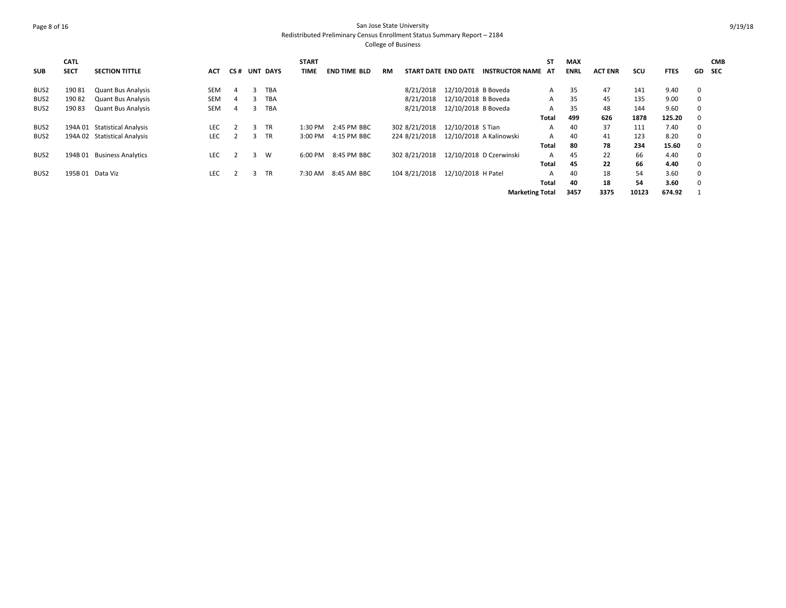# Page 8 of 16 San Jose State University Redistributed Preliminary Census Enrollment Status Summary Report – 2184

| <b>SUB</b>       | <b>CATL</b><br><b>SECT</b> | <b>SECTION TITTLE</b>        | <b>ACT</b> | CS# |   | <b>UNT DAYS</b> | <b>START</b><br><b>TIME</b> | <b>END TIME BLD</b> | <b>RM</b> | <b>START DATE END DATE</b> |                     | <b>INSTRUCTOR NAME AT</b> | <b>ST</b>    | <b>MAX</b><br><b>ENRL</b> | <b>ACT ENR</b> | <b>SCU</b> | <b>FTES</b> | GD.         | <b>CMB</b><br><b>SEC</b> |
|------------------|----------------------------|------------------------------|------------|-----|---|-----------------|-----------------------------|---------------------|-----------|----------------------------|---------------------|---------------------------|--------------|---------------------------|----------------|------------|-------------|-------------|--------------------------|
| BUS2             | 19081                      | <b>Quant Bus Analysis</b>    | <b>SEM</b> |     | з | <b>TBA</b>      |                             |                     |           | 8/21/2018                  | 12/10/2018 B Boveda |                           | A            | 35                        | 47             | 141        | 9.40        | $\mathbf 0$ |                          |
| BUS <sub>2</sub> | 19082                      | <b>Quant Bus Analysis</b>    | <b>SEM</b> |     |   | <b>TBA</b>      |                             |                     |           | 8/21/2018                  | 12/10/2018 B Boveda |                           | A            | 35                        | 45             | 135        | 9.00        | $\mathbf 0$ |                          |
| BUS <sub>2</sub> | 19083                      | <b>Quant Bus Analysis</b>    | <b>SEM</b> |     |   | <b>TBA</b>      |                             |                     |           | 8/21/2018                  | 12/10/2018 B Boveda |                           | A            | 35                        | 48             | 144        | 9.60        | $\Omega$    |                          |
|                  |                            |                              |            |     |   |                 |                             |                     |           |                            |                     |                           | Total        | 499                       | 626            | 1878       | 125.20      |             |                          |
| BUS2             |                            | 194A 01 Statistical Analysis | <b>LEC</b> |     | з | TR              | $1:30$ PM                   | 2:45 PM BBC         |           | 302 8/21/2018              | 12/10/2018 S Tian   |                           | А            | 40                        | 37             | 111        | 7.40        | $\Omega$    |                          |
| BUS <sub>2</sub> |                            | 194A 02 Statistical Analysis | <b>LEC</b> |     | 3 | TR              | 3:00 PM                     | 4:15 PM BBC         |           | 224 8/21/2018              |                     | 12/10/2018 A Kalinowski   | A            | 40                        | 41             | 123        | 8.20        | $\mathbf 0$ |                          |
|                  |                            |                              |            |     |   |                 |                             |                     |           |                            |                     |                           | <b>Total</b> | 80                        | 78             | 234        | 15.60       | $\Omega$    |                          |
| BUS <sub>2</sub> | 194B 01                    | <b>Business Analytics</b>    | <b>LEC</b> |     |   | W               | 6:00 PM                     | 8:45 PM BBC         |           | 302 8/21/2018              |                     | 12/10/2018 D Czerwinski   | А            | 45                        | 22             | 66         | 4.40        | $\mathbf 0$ |                          |
|                  |                            |                              |            |     |   |                 |                             |                     |           |                            |                     |                           | <b>Total</b> | 45                        | 22             | 66         | 4.40        | $\Omega$    |                          |
| BUS <sub>2</sub> |                            | 195B 01 Data Viz             | <b>LEC</b> |     | З | <b>TR</b>       | 7:30 AM                     | 8:45 AM BBC         |           | 104 8/21/2018              | 12/10/2018 H Patel  |                           | А            | 40                        | 18             | 54         | 3.60        | $\mathbf 0$ |                          |
|                  |                            |                              |            |     |   |                 |                             |                     |           |                            |                     |                           | <b>Total</b> | 40                        | 18             | 54         | 3.60        | $\Omega$    |                          |
|                  |                            |                              |            |     |   |                 |                             |                     |           |                            |                     | <b>Marketing Total</b>    |              | 3457                      | 3375           | 10123      | 674.92      |             |                          |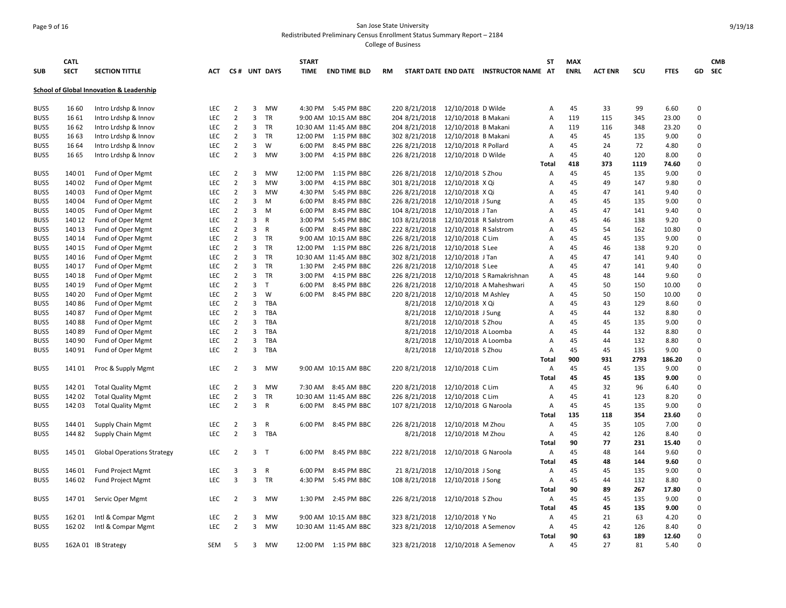## Page 9 of 16 San Jose State University Redistributed Preliminary Census Enrollment Status Summary Report – 2184

| <b>SUB</b> | <b>CATL</b><br><b>SECT</b> | <b>SECTION TITTLE</b>                    | АСТ        |                |                | CS# UNT DAYS | <b>START</b><br>TIME | <b>END TIME BLD</b>   | RM            |                       | START DATE END DATE INSTRUCTOR NAME | ST<br>AT     | <b>MAX</b><br><b>ENRL</b> | <b>ACT ENR</b> | SCU  | <b>FTES</b> |             | <b>CMB</b><br>GD SEC |
|------------|----------------------------|------------------------------------------|------------|----------------|----------------|--------------|----------------------|-----------------------|---------------|-----------------------|-------------------------------------|--------------|---------------------------|----------------|------|-------------|-------------|----------------------|
|            |                            | School of Global Innovation & Leadership |            |                |                |              |                      |                       |               |                       |                                     |              |                           |                |      |             |             |                      |
| BUS5       | 16 60                      | Intro Lrdshp & Innov                     | <b>LEC</b> | $\overline{2}$ | 3              | MW           |                      | 4:30 PM 5:45 PM BBC   | 220 8/21/2018 | 12/10/2018 D Wilde    |                                     | А            | 45                        | 33             | 99   | 6.60        | $\Omega$    |                      |
| BUS5       | 16 61                      | Intro Lrdshp & Innov                     | LEC        | $\overline{2}$ | 3              | <b>TR</b>    |                      | 9:00 AM 10:15 AM BBC  | 204 8/21/2018 | 12/10/2018 B Makani   |                                     | А            | 119                       | 115            | 345  | 23.00       | $\Omega$    |                      |
| BUS5       | 16 62                      | Intro Lrdshp & Innov                     | <b>LEC</b> | 2              | $\overline{3}$ | <b>TR</b>    |                      | 10:30 AM 11:45 AM BBC | 204 8/21/2018 | 12/10/2018 B Makani   |                                     | A            | 119                       | 116            | 348  | 23.20       | $\Omega$    |                      |
| BUS5       | 16 63                      | Intro Lrdshp & Innov                     | <b>LEC</b> | $\overline{2}$ | 3              | TR           | 12:00 PM             | 1:15 PM BBC           | 302 8/21/2018 | 12/10/2018 B Makani   |                                     | Α            | 45                        | 45             | 135  | 9.00        | $\Omega$    |                      |
| BUS5       | 16 64                      | Intro Lrdshp & Innov                     | LEC        | $\overline{2}$ | 3              | W            | 6:00 PM              | 8:45 PM BBC           | 226 8/21/2018 | 12/10/2018 R Pollard  |                                     | Α            | 45                        | 24             | 72   | 4.80        | $\mathbf 0$ |                      |
| BUS5       | 16 65                      | Intro Lrdshp & Innov                     | <b>LEC</b> | $\overline{2}$ | 3              | <b>MW</b>    | 3:00 PM              | 4:15 PM BBC           | 226 8/21/2018 | 12/10/2018 D Wilde    |                                     | A            | 45                        | 40             | 120  | 8.00        | $\Omega$    |                      |
|            |                            |                                          |            |                |                |              |                      |                       |               |                       |                                     | Total        | 418                       | 373            | 1119 | 74.60       | $\Omega$    |                      |
| BUS5       | 14001                      | Fund of Oper Mgmt                        | <b>LEC</b> | 2              | 3              | <b>MW</b>    | 12:00 PM             | 1:15 PM BBC           | 226 8/21/2018 | 12/10/2018 S Zhou     |                                     | A            | 45                        | 45             | 135  | 9.00        | $\Omega$    |                      |
| BUS5       | 140 02                     | Fund of Oper Mgmt                        | LEC        | $\overline{2}$ | 3              | <b>MW</b>    | 3:00 PM              | 4:15 PM BBC           | 301 8/21/2018 | 12/10/2018 X Qi       |                                     | A            | 45                        | 49             | 147  | 9.80        | $\Omega$    |                      |
| BUS5       | 140 03                     | Fund of Oper Mgmt                        | <b>LEC</b> | $\overline{2}$ | 3              | MW           | 4:30 PM              | 5:45 PM BBC           | 226 8/21/2018 | 12/10/2018 X Qi       |                                     | A            | 45                        | 47             | 141  | 9.40        | $\mathbf 0$ |                      |
| BUS5       | 140 04                     | Fund of Oper Mgmt                        | <b>LEC</b> | $\overline{2}$ | 3              | M            | 6:00 PM              | 8:45 PM BBC           | 226 8/21/2018 | 12/10/2018 J Sung     |                                     | А            | 45                        | 45             | 135  | 9.00        | $\Omega$    |                      |
| BUS5       | 140 05                     | Fund of Oper Mgmt                        | LEC        | $\overline{2}$ | 3              | M            | 6:00 PM              | 8:45 PM BBC           | 104 8/21/2018 | 12/10/2018 J Tan      |                                     | A            | 45                        | 47             | 141  | 9.40        | $\mathbf 0$ |                      |
| BUS5       | 140 12                     | Fund of Oper Mgmt                        | <b>LEC</b> | $\overline{2}$ | 3              | R            | 3:00 PM              | 5:45 PM BBC           | 103 8/21/2018 | 12/10/2018 R Salstrom |                                     | A            | 45                        | 46             | 138  | 9.20        | $\Omega$    |                      |
| BUS5       | 140 13                     | Fund of Oper Mgmt                        | LEC        | $\overline{2}$ | 3              | $\mathsf{R}$ | 6:00 PM              | 8:45 PM BBC           | 222 8/21/2018 | 12/10/2018 R Salstrom |                                     | A            | 45                        | 54             | 162  | 10.80       | $\mathbf 0$ |                      |
| BUS5       | 140 14                     | Fund of Oper Mgmt                        | <b>LEC</b> | $\overline{2}$ | 3              | TR           |                      | 9:00 AM 10:15 AM BBC  | 226 8/21/2018 | 12/10/2018 C Lim      |                                     | A            | 45                        | 45             | 135  | 9.00        | $\Omega$    |                      |
| BUS5       | 140 15                     | Fund of Oper Mgmt                        | LEC        | $\overline{2}$ | 3              | <b>TR</b>    | 12:00 PM             | 1:15 PM BBC           | 226 8/21/2018 | 12/10/2018 S Lee      |                                     | А            | 45                        | 46             | 138  | 9.20        | $\Omega$    |                      |
| BUS5       | 140 16                     | Fund of Oper Mgmt                        | LEC        | $\overline{2}$ | 3              | TR           |                      | 10:30 AM 11:45 AM BBC | 302 8/21/2018 | 12/10/2018 J Tan      |                                     | A            | 45                        | 47             | 141  | 9.40        | $\Omega$    |                      |
| BUS5       | 140 17                     | Fund of Oper Mgmt                        | <b>LEC</b> | $\overline{2}$ | 3              | <b>TR</b>    | 1:30 PM              | 2:45 PM BBC           | 226 8/21/2018 | 12/10/2018 S Lee      |                                     | A            | 45                        | 47             | 141  | 9.40        | $\Omega$    |                      |
| BUS5       | 140 18                     | Fund of Oper Mgmt                        | LEC        | $\overline{2}$ | 3              | TR           | 3:00 PM              | 4:15 PM BBC           | 226 8/21/2018 |                       | 12/10/2018 S Ramakrishnan           | A            | 45                        | 48             | 144  | 9.60        | $\mathbf 0$ |                      |
| BUS5       | 140 19                     | Fund of Oper Mgmt                        | <b>LEC</b> | $\overline{2}$ | 3              | T            | 6:00 PM              | 8:45 PM BBC           | 226 8/21/2018 |                       | 12/10/2018 A Maheshwari             | A            | 45                        | 50             | 150  | 10.00       | $\Omega$    |                      |
| BUS5       | 140 20                     | Fund of Oper Mgmt                        | <b>LEC</b> | $\overline{2}$ | 3              | W            | 6:00 PM              | 8:45 PM BBC           | 220 8/21/2018 | 12/10/2018 M Ashley   |                                     | А            | 45                        | 50             | 150  | 10.00       | $\Omega$    |                      |
| BUS5       | 140 86                     | Fund of Oper Mgmt                        | LEC        | $\overline{2}$ | 3              | <b>TBA</b>   |                      |                       | 8/21/2018     | 12/10/2018 X Qi       |                                     | А            | 45                        | 43             | 129  | 8.60        | $\Omega$    |                      |
| BUS5       | 14087                      | Fund of Oper Mgmt                        | LEC        | $\overline{2}$ | 3              | TBA          |                      |                       | 8/21/2018     | 12/10/2018 J Sung     |                                     | A            | 45                        | 44             | 132  | 8.80        | $\Omega$    |                      |
| BUS5       | 14088                      | Fund of Oper Mgmt                        | LEC        | $\overline{2}$ | 3              | TBA          |                      |                       | 8/21/2018     | 12/10/2018 S Zhou     |                                     | A            | 45                        | 45             | 135  | 9.00        | $\mathbf 0$ |                      |
| BUS5       | 14089                      | Fund of Oper Mgmt                        | LEC        | $\overline{2}$ | 3              | TBA          |                      |                       | 8/21/2018     | 12/10/2018 A Loomba   |                                     | A            | 45                        | 44             | 132  | 8.80        | $\Omega$    |                      |
| BUS5       | 140 90                     | Fund of Oper Mgmt                        | LEC        | $\overline{2}$ | 3              | TBA          |                      |                       | 8/21/2018     | 12/10/2018 A Loomba   |                                     | A            | 45                        | 44             | 132  | 8.80        | $\Omega$    |                      |
| BUS5       | 140 91                     | Fund of Oper Mgmt                        | <b>LEC</b> | $\overline{2}$ | 3              | TBA          |                      |                       | 8/21/2018     | 12/10/2018 S Zhou     |                                     | Α            | 45                        | 45             | 135  | 9.00        | $\Omega$    |                      |
|            |                            |                                          |            |                |                |              |                      |                       |               |                       |                                     | Total        | 900                       | 931            | 2793 | 186.20      | $\Omega$    |                      |
| BUS5       | 14101                      | Proc & Supply Mgmt                       | LEC        | $\overline{2}$ | 3              | MW           |                      | 9:00 AM 10:15 AM BBC  | 220 8/21/2018 | 12/10/2018 C Lim      |                                     | Α            | 45                        | 45             | 135  | 9.00        | $\Omega$    |                      |
|            |                            |                                          |            |                |                |              |                      |                       |               |                       |                                     | Total        | 45                        | 45             | 135  | 9.00        | $\Omega$    |                      |
| BUS5       | 142 01                     | <b>Total Quality Mgmt</b>                | LEC        | $\overline{2}$ | 3              | MW           | 7:30 AM              | 8:45 AM BBC           | 220 8/21/2018 | 12/10/2018 C Lim      |                                     | Α            | 45                        | 32             | 96   | 6.40        | $\Omega$    |                      |
| BUS5       | 14202                      | <b>Total Quality Mgmt</b>                | LEC        | $\overline{2}$ | 3              | TR           |                      | 10:30 AM 11:45 AM BBC | 226 8/21/2018 | 12/10/2018 C Lim      |                                     | A            | 45                        | 41             | 123  | 8.20        | $\Omega$    |                      |
| BUS5       | 14203                      | <b>Total Quality Mgmt</b>                | LEC        | $\overline{2}$ | 3              | R            | 6:00 PM              | 8:45 PM BBC           | 107 8/21/2018 | 12/10/2018 G Naroola  |                                     | Α            | 45                        | 45             | 135  | 9.00        | $\Omega$    |                      |
|            |                            |                                          |            |                |                |              |                      |                       |               |                       |                                     | <b>Total</b> | 135                       | 118            | 354  | 23.60       | $\Omega$    |                      |
| BUS5       | 144 01                     | <b>Supply Chain Mgmt</b>                 | <b>LEC</b> | 2              | 3              | R            | 6:00 PM              | 8:45 PM BBC           | 226 8/21/2018 | 12/10/2018 M Zhou     |                                     | Α            | 45                        | 35             | 105  | 7.00        | $\Omega$    |                      |
| BUS5       | 144 82                     | <b>Supply Chain Mgmt</b>                 | LEC        | $\overline{2}$ | 3              | TBA          |                      |                       | 8/21/2018     | 12/10/2018 M Zhou     |                                     | Α            | 45                        | 42             | 126  | 8.40        | $\Omega$    |                      |
|            |                            |                                          |            |                |                |              |                      |                       |               |                       |                                     | Total        | 90                        | 77             | 231  | 15.40       | $\Omega$    |                      |
| BUS5       | 145 01                     | <b>Global Operations Strategy</b>        | LEC        | $\overline{2}$ | 3              | T            | 6:00 PM              | 8:45 PM BBC           | 222 8/21/2018 | 12/10/2018 G Naroola  |                                     | Α            | 45                        | 48             | 144  | 9.60        | $\mathbf 0$ |                      |
|            |                            |                                          |            |                |                |              |                      |                       |               |                       |                                     | Total        | 45                        | 48             | 144  | 9.60        | $\Omega$    |                      |
| BUS5       | 146 01                     | <b>Fund Project Mgmt</b>                 | <b>LEC</b> | 3              | 3 R            |              | 6:00 PM              | 8:45 PM BBC           | 21 8/21/2018  | 12/10/2018 J Song     |                                     | Α            | 45                        | 45             | 135  | 9.00        | $\Omega$    |                      |
| BUS5       | 146 02                     | <b>Fund Project Mgmt</b>                 | LEC        | 3              | 3              | TR           | 4:30 PM              | 5:45 PM BBC           | 108 8/21/2018 | 12/10/2018 J Song     |                                     | Α            | 45                        | 44             | 132  | 8.80        | $\Omega$    |                      |
|            |                            |                                          |            |                |                |              |                      |                       |               |                       |                                     | Total        | 90                        | 89             | 267  | 17.80       | $\Omega$    |                      |
| BUS5       | 14701                      | Servic Oper Mgmt                         | <b>LEC</b> | $\overline{2}$ | 3              | MW           | 1:30 PM              | 2:45 PM BBC           | 226 8/21/2018 | 12/10/2018 S Zhou     |                                     | Α            | 45                        | 45             | 135  | 9.00        | $\mathbf 0$ |                      |
|            |                            |                                          |            |                |                |              |                      |                       |               |                       |                                     | Total        | 45                        | 45             | 135  | 9.00        | $\Omega$    |                      |
| BUS5       | 162 01                     | Intl & Compar Mgmt                       | <b>LEC</b> | 2              | 3              | MW           |                      | 9:00 AM 10:15 AM BBC  | 323 8/21/2018 | 12/10/2018 Y No       |                                     | Α            | 45                        | 21             | 63   | 4.20        | $\Omega$    |                      |
| BUS5       | 162 02                     | Intl & Compar Mgmt                       | LEC        | $\overline{2}$ | 3              | MW           |                      | 10:30 AM 11:45 AM BBC | 323 8/21/2018 | 12/10/2018 A Semenov  |                                     | Α            | 45                        | 42             | 126  | 8.40        | $\Omega$    |                      |
|            |                            |                                          |            |                |                |              |                      |                       |               |                       |                                     | Total        | 90                        | 63             | 189  | 12.60       | $\Omega$    |                      |
| BUS5       |                            | 162A 01 IB Strategy                      | <b>SEM</b> | 5              | 3              | MW           |                      | 12:00 PM 1:15 PM BBC  | 323 8/21/2018 | 12/10/2018 A Semenov  |                                     | Α            | 45                        | 27             | 81   | 5.40        | $\Omega$    |                      |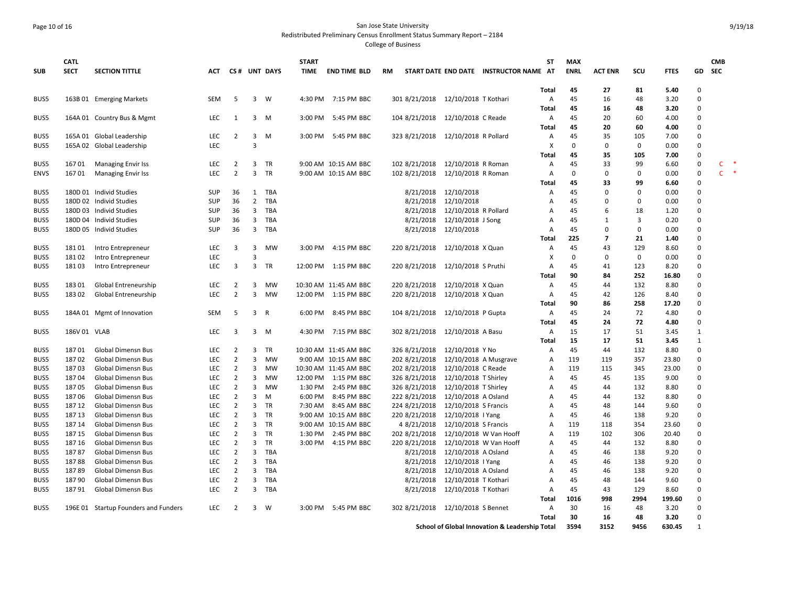## Page 10 of 16 San Jose State University Redistributed Preliminary Census Enrollment Status Summary Report – 2184

|              | <b>CATL</b>    |                                                        |                   |                                  |                     |                   | <b>START</b> |                       |           |                                    |                                             |                                                           | <b>ST</b>      | <b>MAX</b>  |                |             |              |                      | <b>CMB</b>         |
|--------------|----------------|--------------------------------------------------------|-------------------|----------------------------------|---------------------|-------------------|--------------|-----------------------|-----------|------------------------------------|---------------------------------------------|-----------------------------------------------------------|----------------|-------------|----------------|-------------|--------------|----------------------|--------------------|
| <b>SUB</b>   | <b>SECT</b>    | <b>SECTION TITTLE</b>                                  | АСТ               |                                  |                     | CS# UNT DAYS      | <b>TIME</b>  | <b>END TIME BLD</b>   | <b>RM</b> |                                    |                                             | START DATE END DATE INSTRUCTOR NAME AT                    |                | <b>ENRL</b> | <b>ACT ENR</b> | scu         | <b>FTES</b>  | GD                   | <b>SEC</b>         |
|              |                |                                                        |                   |                                  |                     |                   |              |                       |           |                                    |                                             |                                                           | Total          | 45          | 27             | 81          | 5.40         | $\Omega$             |                    |
| BUS5         |                | 163B 01 Emerging Markets                               | SEM               | 5                                | $\overline{3}$      | W                 | 4:30 PM      | 7:15 PM BBC           |           | 301 8/21/2018                      | 12/10/2018 T Kothari                        |                                                           | A              | 45          | 16             | 48          | 3.20         | $\Omega$             |                    |
|              |                |                                                        |                   |                                  |                     |                   |              |                       |           |                                    |                                             |                                                           | <b>Total</b>   | 45          | 16             | 48          | 3.20         | $\Omega$             |                    |
| BUS5         |                | 164A 01 Country Bus & Mgmt                             | LEC               | 1                                | 3                   | M                 | 3:00 PM      | 5:45 PM BBC           |           | 104 8/21/2018                      | 12/10/2018 C Reade                          |                                                           | A              | 45          | 20             | 60          | 4.00         | $\Omega$             |                    |
|              |                |                                                        |                   |                                  |                     |                   |              |                       |           |                                    |                                             |                                                           | Total          | 45          | 20             | 60          | 4.00         | $\Omega$             |                    |
| BUS5         |                | 165A 01 Global Leadership                              | <b>LEC</b>        | 2                                | 3                   | M                 |              | 3:00 PM 5:45 PM BBC   |           | 323 8/21/2018                      | 12/10/2018 R Pollard                        |                                                           | $\mathsf{A}$   | 45          | 35             | 105         | 7.00         | $\Omega$             |                    |
| BUS5         |                | 165A 02 Global Leadership                              | <b>LEC</b>        |                                  | 3                   |                   |              |                       |           |                                    |                                             |                                                           | X              | $\Omega$    | $\Omega$       | $\mathbf 0$ | 0.00         | $\Omega$             |                    |
|              |                |                                                        |                   |                                  |                     |                   |              |                       |           |                                    |                                             |                                                           | Total          | 45          | 35             | 105         | 7.00         | $\Omega$             |                    |
| BUS5         | 16701          | <b>Managing Envir Iss</b>                              | LEC               | $\overline{2}$                   | 3                   | <b>TR</b>         |              | 9:00 AM 10:15 AM BBC  |           | 102 8/21/2018                      | 12/10/2018 R Roman                          |                                                           | Α              | 45          | 33             | 99          | 6.60         | $\mathsf 0$          | $\rightarrow$<br>C |
| <b>ENVS</b>  | 16701          | <b>Managing Envir Iss</b>                              | LEC               | $\overline{2}$                   | 3                   | TR                |              | 9:00 AM 10:15 AM BBC  |           | 102 8/21/2018                      | 12/10/2018 R Roman                          |                                                           | Α              | $\Omega$    | $\Omega$       | $\mathbf 0$ | 0.00         | 0                    | 一味<br>C.           |
|              |                |                                                        |                   |                                  |                     |                   |              |                       |           |                                    |                                             |                                                           | <b>Total</b>   | 45          | 33             | 99          | 6.60         | $\mathbf{0}$         |                    |
| BUS5         |                | 180D 01 Individ Studies                                | <b>SUP</b>        | 36                               | 1                   | TBA               |              |                       |           | 8/21/2018                          | 12/10/2018                                  |                                                           | A              | 45          | $\Omega$       | $\Omega$    | 0.00         | $\Omega$             |                    |
| BUS5         |                | 180D 02 Individ Studies                                | SUP               | 36                               | $\overline{2}$      | TBA               |              |                       |           | 8/21/2018                          | 12/10/2018                                  |                                                           | A              | 45          | $\Omega$       | $\Omega$    | 0.00         | $\Omega$             |                    |
| BUS5         |                | 180D 03 Individ Studies                                | <b>SUP</b>        | 36                               | 3                   | TBA               |              |                       |           | 8/21/2018                          | 12/10/2018 R Pollard                        |                                                           | Α              | 45          | 6              | 18          | 1.20         | $\Omega$             |                    |
| BUS5         |                | 180D 04 Individ Studies                                | SUP               | 36                               | 3                   | TBA               |              |                       |           | 8/21/2018                          | 12/10/2018 J Song                           |                                                           | A              | 45          | 1              | 3           | 0.20         | $\Omega$             |                    |
| BUS5         |                | 180D 05 Individ Studies                                | SUP               | 36                               | 3                   | TBA               |              |                       |           | 8/21/2018                          | 12/10/2018                                  |                                                           | Α              | 45          | $\mathbf 0$    | $\mathbf 0$ | 0.00         | $\Omega$             |                    |
|              |                |                                                        |                   |                                  |                     |                   |              |                       |           |                                    |                                             |                                                           | Total          | 225         | $\overline{7}$ | 21          | 1.40         | $\Omega$             |                    |
| BUS5         | 18101          | Intro Entrepreneur                                     | <b>LEC</b>        | 3                                | 3                   | MW                |              | 3:00 PM 4:15 PM BBC   |           | 220 8/21/2018                      | 12/10/2018 X Quan                           |                                                           | Α              | 45          | 43             | 129         | 8.60         | $\Omega$             |                    |
| BUS5         | 18102          | Intro Entrepreneur                                     | <b>LEC</b>        |                                  | $\overline{3}$      |                   |              |                       |           |                                    |                                             |                                                           | X              | $\Omega$    | $\Omega$       | $\mathbf 0$ | 0.00         | $\Omega$             |                    |
| BUS5         | 18103          | Intro Entrepreneur                                     | <b>LEC</b>        | 3                                | $\overline{3}$      | <b>TR</b>         |              | 12:00 PM 1:15 PM BBC  |           | 220 8/21/2018  12/10/2018 S Pruthi |                                             |                                                           | $\overline{A}$ | 45          | 41             | 123         | 8.20         | $\Omega$             |                    |
|              |                |                                                        |                   |                                  |                     |                   |              |                       |           |                                    |                                             |                                                           | Total          | 90          | 84             | 252         | 16.80        | $\Omega$             |                    |
| BUS5         | 18301          | Global Entreneurship                                   | LEC               | 2                                | 3                   | MW                |              | 10:30 AM 11:45 AM BBC |           | 220 8/21/2018                      | 12/10/2018 X Quan                           |                                                           | Α              | 45          | 44             | 132         | 8.80         | $\Omega$             |                    |
| BUS5         | 18302          | Global Entreneurship                                   | LEC               | $\overline{2}$                   | 3                   | MW                |              | 12:00 PM 1:15 PM BBC  |           | 220 8/21/2018                      | 12/10/2018 X Quan                           |                                                           | Α              | 45          | 42             | 126         | 8.40         | $\Omega$             |                    |
|              |                |                                                        |                   |                                  |                     |                   |              |                       |           |                                    |                                             |                                                           | <b>Total</b>   | 90          | 86             | 258         | 17.20        | $\Omega$             |                    |
| BUS5         |                | 184A 01 Mgmt of Innovation                             | SEM               | 5                                |                     | 3 R               |              | 6:00 PM 8:45 PM BBC   |           | 104 8/21/2018                      | 12/10/2018 P Gupta                          |                                                           | A              | 45          | 24             | 72          | 4.80         | $\Omega$             |                    |
|              |                |                                                        |                   |                                  |                     |                   |              |                       |           |                                    |                                             |                                                           | <b>Total</b>   | 45          | 24             | 72          | 4.80         | $\Omega$             |                    |
| BUS5         | 186V 01 VLAB   |                                                        | LEC               | 3                                | 3                   | - M               |              | 4:30 PM 7:15 PM BBC   |           | 302 8/21/2018                      | 12/10/2018 A Basu                           |                                                           | $\mathsf{A}$   | 15          | 17             | 51          | 3.45         | $\mathbf{1}$         |                    |
|              |                |                                                        |                   |                                  |                     |                   |              |                       |           |                                    |                                             |                                                           | Total          | 15          | 17             | 51          | 3.45         | $\mathbf{1}$         |                    |
| BUS5         | 18701          | Global Dimensn Bus                                     | LEC               | $\overline{2}$                   | 3                   | TR                |              | 10:30 AM 11:45 AM BBC |           | 326 8/21/2018                      | 12/10/2018 Y No                             |                                                           | A              | 45          | 44             | 132         | 8.80         | $\Omega$             |                    |
| BUS5         | 18702          | <b>Global Dimensn Bus</b>                              | LEC               | $\overline{2}$                   | 3                   | <b>MW</b>         |              | 9:00 AM 10:15 AM BBC  |           | 202 8/21/2018                      |                                             | 12/10/2018 A Musgrave                                     | $\mathsf{A}$   | 119         | 119            | 357         | 23.80        | $\Omega$             |                    |
| BUS5         | 18703          | Global Dimensn Bus                                     | LEC               | $\overline{2}$                   | 3                   | MW                |              | 10:30 AM 11:45 AM BBC |           | 202 8/21/2018                      | 12/10/2018 C Reade                          |                                                           | Α              | 119         | 115            | 345         | 23.00        | $\Omega$             |                    |
| BUS5         | 18704          | Global Dimensn Bus                                     | <b>LEC</b>        | $\overline{2}$                   | 3                   | <b>MW</b>         |              | 12:00 PM 1:15 PM BBC  |           | 326 8/21/2018                      | 12/10/2018 T Shirley                        |                                                           | A              | 45          | 45             | 135         | 9.00         | $\Omega$             |                    |
| BUS5         | 18705          | Global Dimensn Bus                                     | LEC               | $\overline{2}$                   | 3                   | MW                | 1:30 PM      | 2:45 PM BBC           |           | 326 8/21/2018                      | 12/10/2018 T Shirley                        |                                                           | $\overline{A}$ | 45          | 44             | 132         | 8.80         | $\Omega$             |                    |
| BUS5         | 18706          | Global Dimensn Bus                                     | <b>LEC</b>        | $\overline{2}$                   | 3                   | M                 | 6:00 PM      | 8:45 PM BBC           |           | 222 8/21/2018                      | 12/10/2018 A Osland                         |                                                           | A              | 45          | 44             | 132         | 8.80         | $\Omega$             |                    |
| BUS5         | 187 12         | Global Dimensn Bus                                     | <b>LEC</b>        | $\overline{2}$                   | 3                   | <b>TR</b>         |              | 7:30 AM 8:45 AM BBC   |           | 224 8/21/2018                      | 12/10/2018 S Francis                        |                                                           | A              | 45          | 48             | 144         | 9.60         | $\Omega$             |                    |
| BUS5         | 187 13         | Global Dimensn Bus                                     | LEC               | $\overline{2}$                   | 3                   | TR                |              | 9:00 AM 10:15 AM BBC  |           | 220 8/21/2018                      | 12/10/2018   Yang                           |                                                           | Α              | 45          | 46             | 138         | 9.20         | $\Omega$             |                    |
| BUS5         | 187 14         | <b>Global Dimensn Bus</b>                              | <b>LEC</b>        | $\overline{2}$                   | 3                   | <b>TR</b>         |              | 9:00 AM 10:15 AM BBC  |           | 4 8/21/2018                        | 12/10/2018 S Francis                        |                                                           | Α              | 119         | 118            | 354         | 23.60        | $\Omega$             |                    |
| BUS5         | 187 15         | Global Dimensn Bus                                     | LEC               | $\overline{2}$                   | 3                   | TR                |              | 1:30 PM 2:45 PM BBC   |           | 202 8/21/2018                      |                                             | 12/10/2018 W Van Hooff                                    | Α              | 119         | 102            | 306         | 20.40        | $\Omega$<br>$\Omega$ |                    |
| BUS5         | 187 16         | <b>Global Dimensn Bus</b>                              | <b>LEC</b>        | $\overline{2}$                   | 3                   | <b>TR</b>         |              | 3:00 PM 4:15 PM BBC   |           | 220 8/21/2018                      |                                             | 12/10/2018 W Van Hooff                                    | $\overline{A}$ | 45          | 44             | 132         | 8.80         |                      |                    |
| BUS5         | 18787          | <b>Global Dimensn Bus</b>                              | <b>LEC</b>        | $\overline{2}$<br>$\overline{2}$ | 3<br>$\overline{3}$ | TBA               |              |                       |           | 8/21/2018                          | 12/10/2018 A Osland                         |                                                           | A              | 45<br>45    | 46             | 138         | 9.20         | $\Omega$<br>$\Omega$ |                    |
| BUS5         | 18788<br>18789 | Global Dimensn Bus                                     | <b>LEC</b><br>LEC | $\overline{2}$                   | 3                   | <b>TBA</b><br>TBA |              |                       |           | 8/21/2018                          | 12/10/2018   Yang                           |                                                           | A              | 45          | 46             | 138         | 9.20<br>9.20 | $\Omega$             |                    |
| BUS5<br>BUS5 | 18790          | <b>Global Dimensn Bus</b><br><b>Global Dimensn Bus</b> | <b>LEC</b>        | $\overline{2}$                   | $\overline{3}$      | TBA               |              |                       |           | 8/21/2018<br>8/21/2018             | 12/10/2018 A Osland<br>12/10/2018 T Kothari |                                                           | Α<br>A         | 45          | 46<br>48       | 138<br>144  | 9.60         | $\Omega$             |                    |
| BUS5         | 18791          | Global Dimensn Bus                                     | LEC               | $\overline{2}$                   | 3                   | TBA               |              |                       |           | 8/21/2018                          | 12/10/2018 T Kothari                        |                                                           | Α              | 45          | 43             | 129         | 8.60         | $\Omega$             |                    |
|              |                |                                                        |                   |                                  |                     |                   |              |                       |           |                                    |                                             |                                                           | Total          | 1016        | 998            | 2994        | 199.60       | $\Omega$             |                    |
| BUS5         |                | 196E 01 Startup Founders and Funders                   | <b>LEC</b>        | $\overline{2}$                   | 3                   | <b>W</b>          |              | 3:00 PM 5:45 PM BBC   |           | 302 8/21/2018  12/10/2018 S Bennet |                                             |                                                           | A              | 30          | 16             | 48          | 3.20         | $\Omega$             |                    |
|              |                |                                                        |                   |                                  |                     |                   |              |                       |           |                                    |                                             |                                                           | Total          | 30          | 16             | 48          | 3.20         | $\Omega$             |                    |
|              |                |                                                        |                   |                                  |                     |                   |              |                       |           |                                    |                                             | <b>School of Global Innovation &amp; Leadership Total</b> |                | 3594        | 3152           | 9456        | 630.45       | $\mathbf{1}$         |                    |
|              |                |                                                        |                   |                                  |                     |                   |              |                       |           |                                    |                                             |                                                           |                |             |                |             |              |                      |                    |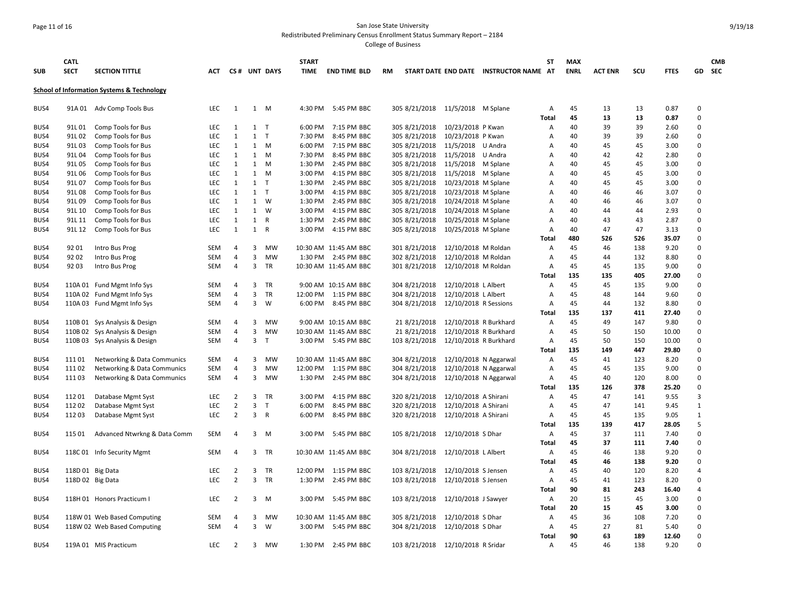### Page 11 of 16 San Jose State University Redistributed Preliminary Census Enrollment Status Summary Report – 2184

| <b>SUB</b> | <b>CATL</b><br><b>SECT</b> | <b>SECTION TITTLE</b>                                 | ACT        |                |   | CS# UNT DAYS | <b>START</b><br><b>TIME</b> | <b>END TIME BLD</b>   | <b>RM</b>                         |                       | START DATE END DATE INSTRUCTOR NAME AT | <b>ST</b>    | <b>MAX</b><br><b>ENRL</b> | <b>ACT ENR</b> | scu | <b>FTES</b> |                      | <b>CMB</b><br>GD SEC |
|------------|----------------------------|-------------------------------------------------------|------------|----------------|---|--------------|-----------------------------|-----------------------|-----------------------------------|-----------------------|----------------------------------------|--------------|---------------------------|----------------|-----|-------------|----------------------|----------------------|
|            |                            | <b>School of Information Systems &amp; Technology</b> |            |                |   |              |                             |                       |                                   |                       |                                        |              |                           |                |     |             |                      |                      |
| BUS4       |                            | 91A 01 Adv Comp Tools Bus                             | <b>LEC</b> | 1              |   | 1 M          | 4:30 PM                     | 5:45 PM BBC           | 305 8/21/2018 11/5/2018 M Splane  |                       |                                        | Α            | 45                        | 13             | 13  | 0.87        | $\mathbf 0$          |                      |
|            |                            |                                                       |            |                |   |              |                             |                       |                                   |                       |                                        | <b>Total</b> | 45                        | 13             | 13  | 0.87        | $\mathbf 0$          |                      |
| BUS4       | 91L 01                     | Comp Tools for Bus                                    | <b>LEC</b> | 1              |   | 1 T          | 6:00 PM                     | 7:15 PM BBC           | 305 8/21/2018                     | 10/23/2018 P Kwan     |                                        | Α            | 40                        | 39             | 39  | 2.60        | $\Omega$             |                      |
| BUS4       | 91L02                      | Comp Tools for Bus                                    | LEC        | $\mathbf{1}$   |   | $1$ T        | 7:30 PM                     | 8:45 PM BBC           | 305 8/21/2018                     | 10/23/2018 P Kwan     |                                        | Α            | 40                        | 39             | 39  | 2.60        | $\Omega$             |                      |
| BUS4       | 91L03                      | Comp Tools for Bus                                    | <b>LEC</b> | 1              |   | 1 M          | 6:00 PM                     | 7:15 PM BBC           | 305 8/21/2018                     | 11/5/2018 U Andra     |                                        | A            | 40                        | 45             | 45  | 3.00        | $\Omega$             |                      |
| BUS4       | 91L04                      | Comp Tools for Bus                                    | LEC        | $\mathbf{1}$   | 1 | M            | 7:30 PM                     | 8:45 PM BBC           | 305 8/21/2018                     | 11/5/2018 U Andra     |                                        | A            | 40                        | 42             | 42  | 2.80        | $\mathbf 0$          |                      |
| BUS4       | 91L05                      | Comp Tools for Bus                                    | <b>LEC</b> | $\mathbf{1}$   |   | 1 M          | 1:30 PM                     | 2:45 PM BBC           | 305 8/21/2018                     | 11/5/2018 M Splane    |                                        | А            | 40                        | 45             | 45  | 3.00        | $\Omega$             |                      |
| BUS4       | 91L06                      | Comp Tools for Bus                                    | <b>LEC</b> | 1              |   | 1 M          | 3:00 PM                     | 4:15 PM BBC           | 305 8/21/2018                     | 11/5/2018 M Splane    |                                        | Α            | 40                        | 45             | 45  | 3.00        | $\Omega$             |                      |
| BUS4       | 91L07                      | Comp Tools for Bus                                    | LEC        | $\mathbf{1}$   |   | $1$ T        | 1:30 PM                     | 2:45 PM BBC           | 305 8/21/2018                     | 10/23/2018 M Splane   |                                        | А            | 40                        | 45             | 45  | 3.00        | $\Omega$             |                      |
| BUS4       | 91L08                      | Comp Tools for Bus                                    | <b>LEC</b> | 1              |   | $1 \quad T$  | 3:00 PM                     | 4:15 PM BBC           | 305 8/21/2018                     | 10/23/2018 M Splane   |                                        | А            | 40                        | 46             | 46  | 3.07        | $\Omega$             |                      |
| BUS4       | 91L09                      | Comp Tools for Bus                                    | LEC        | $\mathbf{1}$   | 1 | W            | 1:30 PM                     | 2:45 PM BBC           | 305 8/21/2018                     | 10/24/2018 M Splane   |                                        | A            | 40                        | 46             | 46  | 3.07        | $\mathbf 0$          |                      |
| BUS4       | 91L 10                     | Comp Tools for Bus                                    | <b>LEC</b> | 1              |   | 1 W          | 3:00 PM                     | 4:15 PM BBC           | 305 8/21/2018                     | 10/24/2018 M Splane   |                                        | A            | 40                        | 44             | 44  | 2.93        | $\Omega$<br>$\Omega$ |                      |
| BUS4       | 91L 11                     | Comp Tools for Bus                                    | LEC        | $\mathbf{1}$   |   | 1 R          | 1:30 PM                     | 2:45 PM BBC           | 305 8/21/2018                     | 10/25/2018 M Splane   |                                        | Α            | 40                        | 43             | 43  | 2.87        | $\Omega$             |                      |
| BUS4       | 91L 12                     | Comp Tools for Bus                                    | LEC        | 1              | 1 | $\mathsf{R}$ | 3:00 PM                     | 4:15 PM BBC           | 305 8/21/2018                     | 10/25/2018 M Splane   |                                        | A            | 40                        | 47             | 47  | 3.13        | $\Omega$             |                      |
|            |                            |                                                       |            |                |   |              |                             |                       |                                   |                       |                                        | Total        | 480                       | 526            | 526 | 35.07       | $\Omega$             |                      |
| BUS4       | 92 01                      | Intro Bus Prog                                        | <b>SEM</b> | 4              | 3 | MW           |                             | 10:30 AM 11:45 AM BBC | 301 8/21/2018                     | 12/10/2018 M Roldan   |                                        | Α            | 45                        | 46             | 138 | 9.20        |                      |                      |
| BUS4       | 92 02                      | Intro Bus Prog                                        | <b>SEM</b> | 4              | 3 | MW           |                             | 1:30 PM 2:45 PM BBC   | 302 8/21/2018                     | 12/10/2018 M Roldan   |                                        | A            | 45                        | 44             | 132 | 8.80        | $\Omega$             |                      |
| BUS4       | 92 03                      | Intro Bus Prog                                        | <b>SEM</b> | 4              | 3 | TR           |                             | 10:30 AM 11:45 AM BBC | 301 8/21/2018                     | 12/10/2018 M Roldan   |                                        | А            | 45                        | 45             | 135 | 9.00        | $\Omega$<br>$\Omega$ |                      |
|            |                            |                                                       |            |                |   |              |                             |                       |                                   |                       |                                        | Total        | 135                       | 135            | 405 | 27.00       |                      |                      |
| BUS4       |                            | 110A 01 Fund Mgmt Info Sys                            | <b>SEM</b> | 4              | 3 | TR           |                             | 9:00 AM 10:15 AM BBC  | 304 8/21/2018                     | 12/10/2018 L Albert   |                                        | Α            | 45                        | 45             | 135 | 9.00        | $\Omega$             |                      |
| BUS4       |                            | 110A 02 Fund Mgmt Info Sys                            | <b>SEM</b> | 4              | 3 | TR           |                             | 12:00 PM 1:15 PM BBC  | 304 8/21/2018                     | 12/10/2018 L Albert   |                                        | А            | 45                        | 48             | 144 | 9.60        | $\Omega$             |                      |
| BUS4       |                            | 110A 03 Fund Mgmt Info Sys                            | <b>SEM</b> | 4              | 3 | W            | 6:00 PM                     | 8:45 PM BBC           | 304 8/21/2018                     | 12/10/2018 R Sessions |                                        | A            | 45                        | 44             | 132 | 8.80        | $\Omega$             |                      |
|            |                            |                                                       |            |                |   |              |                             |                       |                                   |                       |                                        | Total        | 135                       | 137            | 411 | 27.40       | $\mathbf 0$          |                      |
| BUS4       |                            | 110B 01 Sys Analysis & Design                         | <b>SEM</b> | 4              | 3 | MW           |                             | 9:00 AM 10:15 AM BBC  | 21 8/21/2018                      | 12/10/2018 R Burkhard |                                        | A            | 45                        | 49             | 147 | 9.80        | $\Omega$             |                      |
| BUS4       |                            | 110B 02 Sys Analysis & Design                         | <b>SEM</b> | 4              | 3 | MW           |                             | 10:30 AM 11:45 AM BBC | 21 8/21/2018                      | 12/10/2018 R Burkhard |                                        | Α            | 45                        | 50             | 150 | 10.00       | $\Omega$             |                      |
| BUS4       |                            | 110B 03 Sys Analysis & Design                         | <b>SEM</b> | 4              | 3 | T            |                             | 3:00 PM 5:45 PM BBC   | 103 8/21/2018                     | 12/10/2018 R Burkhard |                                        | А            | 45                        | 50             | 150 | 10.00       | $\Omega$             |                      |
|            |                            |                                                       |            |                |   |              |                             |                       |                                   |                       |                                        | Total        | 135                       | 149            | 447 | 29.80       | $\Omega$             |                      |
| BUS4       | 11101                      | Networking & Data Communics                           | <b>SEM</b> | 4              | 3 | MW           |                             | 10:30 AM 11:45 AM BBC | 304 8/21/2018                     | 12/10/2018 N Aggarwal |                                        | Α            | 45                        | 41             | 123 | 8.20        | $\mathbf 0$          |                      |
| BUS4       | 11102                      | Networking & Data Communics                           | <b>SEM</b> | 4              | 3 | MW           |                             | 12:00 PM 1:15 PM BBC  | 304 8/21/2018                     | 12/10/2018 N Aggarwal |                                        | A            | 45                        | 45             | 135 | 9.00        | $\Omega$             |                      |
| BUS4       | 11103                      | Networking & Data Communics                           | SEM        | 4              | 3 | МW           | 1:30 PM                     | 2:45 PM BBC           | 304 8/21/2018                     | 12/10/2018 N Aggarwal |                                        | Α            | 45                        | 40             | 120 | 8.00        | $\Omega$             |                      |
|            |                            |                                                       |            |                |   |              |                             |                       |                                   |                       |                                        | <b>Total</b> | 135                       | 126            | 378 | 25.20       | $\Omega$             |                      |
| BUS4       | 11201                      | Database Mgmt Syst                                    | <b>LEC</b> | 2              |   | 3 TR         | 3:00 PM                     | 4:15 PM BBC           | 320 8/21/2018                     | 12/10/2018 A Shirani  |                                        | A            | 45                        | 47             | 141 | 9.55        | $\overline{3}$       |                      |
| BUS4       | 11202                      | Database Mgmt Syst                                    | LEC        | $\overline{2}$ | 3 | T            | 6:00 PM                     | 8:45 PM BBC           | 320 8/21/2018                     | 12/10/2018 A Shirani  |                                        | Α            | 45                        | 47             | 141 | 9.45        | $\mathbf{1}$         |                      |
| BUS4       | 11203                      | Database Mgmt Syst                                    | <b>LEC</b> | $\overline{2}$ |   | 3 R          |                             | 6:00 PM 8:45 PM BBC   | 320 8/21/2018                     | 12/10/2018 A Shirani  |                                        | A            | 45                        | 45             | 135 | 9.05        | $\mathbf{1}$         |                      |
|            |                            |                                                       |            |                |   |              |                             |                       |                                   |                       |                                        | Total        | 135                       | 139            | 417 | 28.05       | 5                    |                      |
| BUS4       | 115 01                     | Advanced Ntwrkng & Data Comm                          | <b>SEM</b> | 4              |   | $3 \quad M$  |                             | 3:00 PM 5:45 PM BBC   | 105 8/21/2018                     | 12/10/2018 S Dhar     |                                        | Α            | 45                        | 37             | 111 | 7.40        | 0                    |                      |
|            |                            |                                                       |            |                |   |              |                             |                       |                                   |                       |                                        | Total        | 45                        | 37             | 111 | 7.40        | $\Omega$             |                      |
| BUS4       |                            | 118C 01 Info Security Mgmt                            | <b>SEM</b> | 4              | 3 | TR           |                             | 10:30 AM 11:45 AM BBC | 304 8/21/2018                     | 12/10/2018 L Albert   |                                        | Α            | 45                        | 46             | 138 | 9.20        | $\mathbf 0$          |                      |
|            |                            |                                                       |            |                |   |              |                             |                       |                                   |                       |                                        | Total        | 45                        | 46             | 138 | 9.20        | $\Omega$             |                      |
| BUS4       |                            | 118D 01 Big Data                                      | <b>LEC</b> | $\overline{2}$ | 3 | TR           | 12:00 PM                    | 1:15 PM BBC           | 103 8/21/2018                     | 12/10/2018 S Jensen   |                                        | Α            | 45                        | 40             | 120 | 8.20        | 4                    |                      |
| BUS4       |                            | 118D 02 Big Data                                      | <b>LEC</b> | $\overline{2}$ | 3 | <b>TR</b>    | 1:30 PM                     | 2:45 PM BBC           | 103 8/21/2018                     | 12/10/2018 S Jensen   |                                        | Α            | 45                        | 41             | 123 | 8.20        | 0                    |                      |
|            |                            |                                                       |            |                |   |              |                             |                       |                                   |                       |                                        | Total        | 90                        | 81             | 243 | 16.40       | 4                    |                      |
| BUS4       |                            | 118H 01 Honors Practicum I                            | LEC        | $\overline{2}$ | 3 | M            | 3:00 PM                     | 5:45 PM BBC           | 103 8/21/2018                     | 12/10/2018 J Sawyer   |                                        | Α            | 20                        | 15             | 45  | 3.00        | $\Omega$             |                      |
|            |                            |                                                       |            |                |   |              |                             |                       |                                   |                       |                                        | Total        | 20                        | 15             | 45  | 3.00        | $\Omega$             |                      |
| BUS4       |                            | 118W 01 Web Based Computing                           | <b>SEM</b> | 4              | 3 | MW           |                             | 10:30 AM 11:45 AM BBC | 305 8/21/2018                     | 12/10/2018 S Dhar     |                                        | Α            | 45                        | 36             | 108 | 7.20        | $\pmb{0}$            |                      |
| BUS4       |                            | 118W 02 Web Based Computing                           | <b>SEM</b> | 4              | 3 | W            |                             | 3:00 PM 5:45 PM BBC   | 304 8/21/2018                     | 12/10/2018 S Dhar     |                                        | Α            | 45                        | 27             | 81  | 5.40        | $\Omega$             |                      |
|            |                            |                                                       |            |                |   |              |                             |                       |                                   |                       |                                        | Total        | 90                        | 63             | 189 | 12.60       | $\Omega$             |                      |
| BUS4       |                            | 119A 01 MIS Practicum                                 | LEC        | $\overline{2}$ | 3 | MW           |                             | 1:30 PM 2:45 PM BBC   | 103 8/21/2018 12/10/2018 R Sridar |                       |                                        | Α            | 45                        | 46             | 138 | 9.20        | $\Omega$             |                      |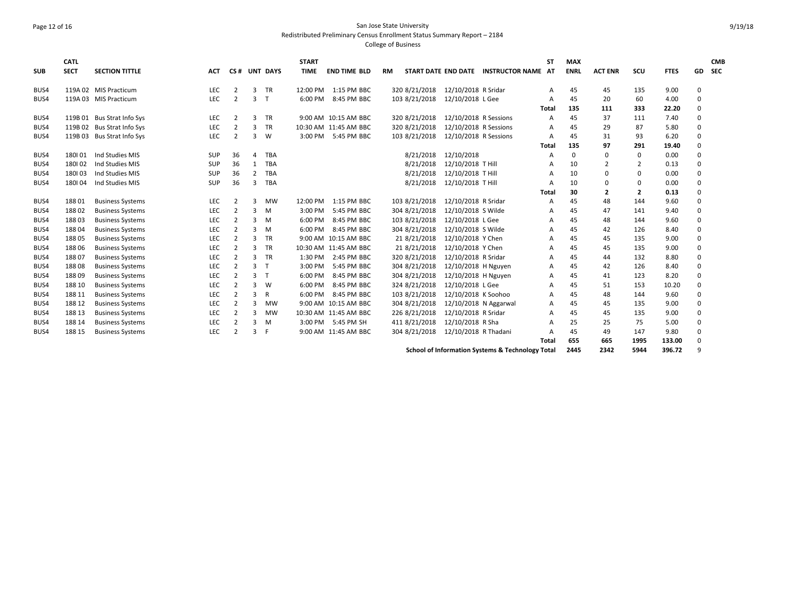# Page 12 of 16 San Jose State University Redistributed Preliminary Census Enrollment Status Summary Report – 2184

| <b>SUB</b> | <b>CATL</b><br><b>SECT</b> | <b>SECTION TITTLE</b>      | <b>ACT</b> | CS#            |                | <b>UNT DAYS</b> | <b>START</b><br><b>TIME</b> | <b>END TIME BLD</b>   | RM            | <b>START DATE END DATE</b> | <b>INSTRUCTOR NAME AT</b>                        | ST           | <b>MAX</b><br><b>ENRL</b> | <b>ACT ENR</b> | scu            | <b>FTES</b> |          | <b>CMB</b><br>GD SEC |
|------------|----------------------------|----------------------------|------------|----------------|----------------|-----------------|-----------------------------|-----------------------|---------------|----------------------------|--------------------------------------------------|--------------|---------------------------|----------------|----------------|-------------|----------|----------------------|
| BUS4       |                            | 119A 02 MIS Practicum      | LEC        | $\overline{2}$ | 3              | <b>TR</b>       | 12:00 PM                    | 1:15 PM BBC           | 320 8/21/2018 | 12/10/2018 R Sridar        |                                                  | А            | 45                        | 45             | 135            | 9.00        | 0        |                      |
| BUS4       |                            | 119A 03 MIS Practicum      | LEC        | 2              | 3              | $\mathsf{T}$    | 6:00 PM                     | 8:45 PM BBC           | 103 8/21/2018 | 12/10/2018 L Gee           |                                                  | А            | 45                        | 20             | 60             | 4.00        | $\Omega$ |                      |
|            |                            |                            |            |                |                |                 |                             |                       |               |                            |                                                  | <b>Total</b> | 135                       | 111            | 333            | 22.20       | $\Omega$ |                      |
| BUS4       |                            | 119B 01 Bus Strat Info Sys | LEC        | 2              | 3              | <b>TR</b>       |                             | 9:00 AM 10:15 AM BBC  | 320 8/21/2018 | 12/10/2018 R Sessions      |                                                  | А            | 45                        | 37             | 111            | 7.40        | $\Omega$ |                      |
| BUS4       |                            | 119B 02 Bus Strat Info Sys | LEC        | $\overline{2}$ | 3              | <b>TR</b>       |                             | 10:30 AM 11:45 AM BBC | 320 8/21/2018 | 12/10/2018 R Sessions      |                                                  | А            | 45                        | 29             | 87             | 5.80        | $\Omega$ |                      |
| BUS4       |                            | 119B 03 Bus Strat Info Sys | LEC        | $\overline{2}$ | 3              | W               |                             | 3:00 PM 5:45 PM BBC   | 103 8/21/2018 | 12/10/2018 R Sessions      |                                                  | А            | 45                        | 31             | 93             | 6.20        | $\Omega$ |                      |
|            |                            |                            |            |                |                |                 |                             |                       |               |                            |                                                  | Total        | 135                       | 97             | 291            | 19.40       | $\Omega$ |                      |
| BUS4       | 180101                     | Ind Studies MIS            | SUP        | 36             | 4              | TBA             |                             |                       | 8/21/2018     | 12/10/2018                 |                                                  | А            | $\Omega$                  | $\Omega$       | $\mathbf{0}$   | 0.00        | $\Omega$ |                      |
| BUS4       | 180102                     | Ind Studies MIS            | SUP        | 36             | $\mathbf{1}$   | TBA             |                             |                       | 8/21/2018     | 12/10/2018 T Hill          |                                                  | А            | 10                        | $\overline{2}$ | 2              | 0.13        | $\Omega$ |                      |
| BUS4       | 180103                     | Ind Studies MIS            | SUP        | 36             | $\overline{2}$ | TBA             |                             |                       | 8/21/2018     | 12/10/2018 T Hill          |                                                  | А            | 10                        | $\mathbf 0$    | $\Omega$       | 0.00        | $\Omega$ |                      |
| BUS4       | 180104                     | Ind Studies MIS            | SUP        | 36             | 3              | <b>TBA</b>      |                             |                       | 8/21/2018     | 12/10/2018 T Hill          |                                                  | А            | 10                        | $\Omega$       | $\Omega$       | 0.00        | $\Omega$ |                      |
|            |                            |                            |            |                |                |                 |                             |                       |               |                            |                                                  | Total        | 30                        | $\overline{2}$ | $\overline{2}$ | 0.13        | $\Omega$ |                      |
| BUS4       | 18801                      | <b>Business Systems</b>    | LEC        | 2              | 3              | <b>MW</b>       | 12:00 PM                    | 1:15 PM BBC           | 103 8/21/2018 | 12/10/2018 R Sridar        |                                                  | А            | 45                        | 48             | 144            | 9.60        | $\Omega$ |                      |
| BUS4       | 18802                      | <b>Business Systems</b>    | LEC        | 2              | 3              | M               | 3:00 PM                     | 5:45 PM BBC           | 304 8/21/2018 | 12/10/2018 S Wilde         |                                                  | А            | 45                        | 47             | 141            | 9.40        | $\Omega$ |                      |
| BUS4       | 18803                      | <b>Business Systems</b>    | LEC        | 2              | 3              | M               | 6:00 PM                     | 8:45 PM BBC           | 103 8/21/2018 | 12/10/2018 L Gee           |                                                  | А            | 45                        | 48             | 144            | 9.60        | $\Omega$ |                      |
| BUS4       | 18804                      | <b>Business Systems</b>    | LEC        | 2              | 3              | M               | 6:00 PM                     | 8:45 PM BBC           | 304 8/21/2018 | 12/10/2018 S Wilde         |                                                  | А            | 45                        | 42             | 126            | 8.40        | $\Omega$ |                      |
| BUS4       | 18805                      | <b>Business Systems</b>    | LEC        | 2              | 3              | TR              |                             | 9:00 AM 10:15 AM BBC  | 21 8/21/2018  | 12/10/2018 Y Chen          |                                                  |              | 45                        | 45             | 135            | 9.00        | 0        |                      |
| BUS4       | 18806                      | <b>Business Systems</b>    | LEC        | 2              | 3              | TR              |                             | 10:30 AM 11:45 AM BBC | 21 8/21/2018  | 12/10/2018 Y Chen          |                                                  | А            | 45                        | 45             | 135            | 9.00        | $\Omega$ |                      |
| BUS4       | 18807                      | <b>Business Systems</b>    | LEC        | 2              | 3              | TR              | 1:30 PM                     | 2:45 PM BBC           | 320 8/21/2018 | 12/10/2018 R Sridar        |                                                  | А            | 45                        | 44             | 132            | 8.80        | $\Omega$ |                      |
| BUS4       | 18808                      | <b>Business Systems</b>    | LEC        | 2              | 3              | $\mathsf{T}$    | 3:00 PM                     | 5:45 PM BBC           | 304 8/21/2018 | 12/10/2018 H Nguyen        |                                                  | А            | 45                        | 42             | 126            | 8.40        | 0        |                      |
| BUS4       | 18809                      | <b>Business Systems</b>    | LEC        | $\overline{2}$ | 3              | $\top$          | 6:00 PM                     | 8:45 PM BBC           | 304 8/21/2018 | 12/10/2018 H Nguyen        |                                                  | А            | 45                        | 41             | 123            | 8.20        | $\Omega$ |                      |
| BUS4       | 188 10                     | <b>Business Systems</b>    | LEC        | $\overline{2}$ | 3              | W               | 6:00 PM                     | 8:45 PM BBC           | 324 8/21/2018 | 12/10/2018 L Gee           |                                                  | А            | 45                        | 51             | 153            | 10.20       | $\Omega$ |                      |
| BUS4       | 188 11                     | <b>Business Systems</b>    | LEC        | $\overline{2}$ | 3              | R               | 6:00 PM                     | 8:45 PM BBC           | 103 8/21/2018 | 12/10/2018 K Soohoo        |                                                  | А            | 45                        | 48             | 144            | 9.60        | $\Omega$ |                      |
| BUS4       | 188 12                     | <b>Business Systems</b>    | LEC        | $\overline{2}$ | 3              | MW              |                             | 9:00 AM 10:15 AM BBC  | 304 8/21/2018 | 12/10/2018 N Aggarwal      |                                                  | A            | 45                        | 45             | 135            | 9.00        | $\Omega$ |                      |
| BUS4       | 188 13                     | <b>Business Systems</b>    | LEC        | 2              | 3              | MW              |                             | 10:30 AM 11:45 AM BBC | 226 8/21/2018 | 12/10/2018 R Sridar        |                                                  | А            | 45                        | 45             | 135            | 9.00        | 0        |                      |
| BUS4       | 188 14                     | <b>Business Systems</b>    | LEC        | $\overline{2}$ | 3              | M               |                             | 3:00 PM 5:45 PM SH    | 411 8/21/2018 | 12/10/2018 R Sha           |                                                  | А            | 25                        | 25             | 75             | 5.00        | 0        |                      |
| BUS4       | 188 15                     | <b>Business Systems</b>    | LEC        | $\overline{2}$ | 3              | -F              |                             | 9:00 AM 11:45 AM BBC  | 304 8/21/2018 | 12/10/2018 R Thadani       |                                                  | А            | 45                        | 49             | 147            | 9.80        | $\Omega$ |                      |
|            |                            |                            |            |                |                |                 |                             |                       |               |                            |                                                  | Total        | 655                       | 665            | 1995           | 133.00      | $\Omega$ |                      |
|            |                            |                            |            |                |                |                 |                             |                       |               |                            | School of Information Systems & Technology Total |              | 2445                      | 2342           | 5944           | 396.72      | q        |                      |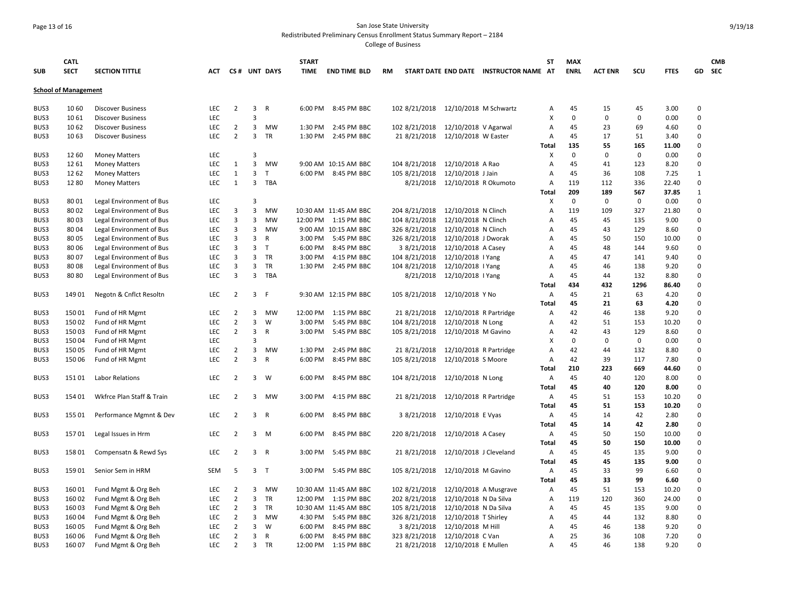### Page 13 of 16 San Jose State University Redistributed Preliminary Census Enrollment Status Summary Report – 2184

| <b>SUB</b>                  | <b>CATL</b><br><b>SECT</b> | <b>SECTION TITTLE</b>                                | ACT               |                |                | CS# UNT DAYS       | <b>START</b><br><b>TIME</b> | <b>END TIME BLD</b>                 | RM                           |                                         | START DATE END DATE INSTRUCTOR NAME AT | <b>ST</b>      | <b>MAX</b><br><b>ENRL</b> | <b>ACT ENR</b> | scu         | <b>FTES</b>   | GD.                  | <b>CMB</b><br>SEC |
|-----------------------------|----------------------------|------------------------------------------------------|-------------------|----------------|----------------|--------------------|-----------------------------|-------------------------------------|------------------------------|-----------------------------------------|----------------------------------------|----------------|---------------------------|----------------|-------------|---------------|----------------------|-------------------|
| <b>School of Management</b> |                            |                                                      |                   |                |                |                    |                             |                                     |                              |                                         |                                        |                |                           |                |             |               |                      |                   |
| BUS3                        | 10 60                      | <b>Discover Business</b>                             | LEC               | $\overline{2}$ | 3              | $\mathsf{R}$       | 6:00 PM                     | 8:45 PM BBC                         | 102 8/21/2018                | 12/10/2018 M Schwartz                   |                                        | Α              | 45                        | 15             | 45          | 3.00          | 0                    |                   |
| BUS3                        | 10 61                      | <b>Discover Business</b>                             | LEC               |                | $\overline{3}$ |                    |                             |                                     |                              |                                         |                                        | X              | $\mathbf 0$               | $\Omega$       | $\Omega$    | 0.00          | $\Omega$             |                   |
| BUS3                        | 10 62                      | <b>Discover Business</b>                             | LEC               | $\overline{2}$ | 3              | <b>MW</b>          | 1:30 PM                     | 2:45 PM BBC                         | 102 8/21/2018                | 12/10/2018 V Agarwal                    |                                        | A              | 45                        | 23             | 69          | 4.60          | 0                    |                   |
| BUS3                        | 10 63                      | <b>Discover Business</b>                             | <b>LEC</b>        | $\overline{2}$ | 3              | TR                 | 1:30 PM                     | 2:45 PM BBC                         | 21 8/21/2018                 | 12/10/2018 W Easter                     |                                        | Α              | 45                        | 17             | 51          | 3.40          | 0                    |                   |
|                             |                            |                                                      |                   |                |                |                    |                             |                                     |                              |                                         |                                        | Total          | 135                       | 55             | 165         | 11.00         | $\Omega$             |                   |
| BUS3                        | 12 60                      | <b>Money Matters</b>                                 | LEC               |                | 3              |                    |                             |                                     |                              |                                         |                                        | X              | $\mathbf 0$               | $\mathbf 0$    | 0           | 0.00          | $\Omega$             |                   |
| BUS3                        | 12 61                      | <b>Money Matters</b>                                 | LEC               | $\mathbf{1}$   | 3              | MW                 |                             | 9:00 AM 10:15 AM BBC                | 104 8/21/2018                | 12/10/2018 A Rao                        |                                        | $\Delta$       | 45                        | 41             | 123         | 8.20          | 0                    |                   |
| BUS3                        | 12 62                      | <b>Money Matters</b>                                 | LEC               | $\mathbf{1}$   | 3              | T                  | 6:00 PM                     | 8:45 PM BBC                         | 105 8/21/2018                | 12/10/2018 J Jain                       |                                        | A              | 45                        | 36             | 108         | 7.25          | $\mathbf{1}$         |                   |
| BUS3                        | 12 80                      | <b>Money Matters</b>                                 | LEC               | $\mathbf{1}$   | 3              | TBA                |                             |                                     | 8/21/2018                    | 12/10/2018 R Okumoto                    |                                        | A              | 119                       | 112            | 336         | 22.40         | $\Omega$             |                   |
|                             |                            |                                                      |                   |                |                |                    |                             |                                     |                              |                                         |                                        | Total          | 209                       | 189            | 567         | 37.85         | $\mathbf{1}$         |                   |
| BUS3                        | 80 01                      | Legal Environment of Bus                             | <b>LEC</b>        |                | 3              |                    |                             |                                     |                              |                                         |                                        | х              | $\mathbf 0$               | $\mathbf 0$    | $\mathbf 0$ | 0.00          | $\Omega$             |                   |
| BUS3                        | 80 02                      | Legal Environment of Bus                             | LEC               | 3              | 3              | <b>MW</b>          |                             | 10:30 AM 11:45 AM BBC               | 204 8/21/2018                | 12/10/2018 N Clinch                     |                                        | $\overline{A}$ | 119                       | 109            | 327         | 21.80         | 0                    |                   |
| BUS3                        | 80 03                      | Legal Environment of Bus                             | LEC               | 3              | 3              | <b>MW</b>          | 12:00 PM                    | 1:15 PM BBC                         | 104 8/21/2018                | 12/10/2018 N Clinch                     |                                        | A              | 45                        | 45             | 135         | 9.00          | $\Omega$<br>$\Omega$ |                   |
| BUS3                        | 80 04<br>80 05             | Legal Environment of Bus                             | <b>LEC</b><br>LEC | 3<br>3         | 3<br>3         | MW<br>$\mathsf{R}$ | 3:00 PM                     | 9:00 AM 10:15 AM BBC<br>5:45 PM BBC | 326 8/21/2018                | 12/10/2018 N Clinch                     |                                        | A<br>A         | 45<br>45                  | 43<br>50       | 129<br>150  | 8.60<br>10.00 | $\Omega$             |                   |
| BUS3<br>BUS3                | 80 06                      | Legal Environment of Bus                             | LEC               | 3              | $\overline{3}$ | $\mathsf{T}$       | 6:00 PM                     | 8:45 PM BBC                         | 326 8/21/2018<br>3 8/21/2018 | 12/10/2018 J Dworak                     |                                        | A              | 45                        | 48             | 144         | 9.60          | $\Omega$             |                   |
| BUS3                        | 80 07                      | Legal Environment of Bus                             | LEC               | 3              | 3              | TR                 | 3:00 PM                     | 4:15 PM BBC                         | 104 8/21/2018                | 12/10/2018 A Casey<br>12/10/2018   Yang |                                        | A              | 45                        | 47             | 141         | 9.40          | 0                    |                   |
| BUS3                        | 80 08                      | Legal Environment of Bus<br>Legal Environment of Bus | LEC               | 3              | 3              | TR                 | 1:30 PM                     | 2:45 PM BBC                         | 104 8/21/2018                | 12/10/2018   Yang                       |                                        | A              | 45                        | 46             | 138         | 9.20          | $\Omega$             |                   |
| BUS3                        | 8080                       | Legal Environment of Bus                             | <b>LEC</b>        | 3              | $\overline{3}$ | TBA                |                             |                                     | 8/21/2018                    | 12/10/2018   Yang                       |                                        | A              | 45                        | 44             | 132         | 8.80          | $\Omega$             |                   |
|                             |                            |                                                      |                   |                |                |                    |                             |                                     |                              |                                         |                                        | Total          | 434                       | 432            | 1296        | 86.40         | $\Omega$             |                   |
| BUS3                        | 149 01                     | Negotn & Cnflct Resoltn                              | LEC               | $\overline{2}$ | $\mathbf{3}$   | -F                 |                             | 9:30 AM 12:15 PM BBC                | 105 8/21/2018                | 12/10/2018 Y No                         |                                        | Α              | 45                        | 21             | 63          | 4.20          | 0                    |                   |
|                             |                            |                                                      |                   |                |                |                    |                             |                                     |                              |                                         |                                        | Total          | 45                        | 21             | 63          | 4.20          | $\Omega$             |                   |
| BUS3                        | 15001                      | Fund of HR Mgmt                                      | <b>LEC</b>        | 2              | 3              | <b>MW</b>          | 12:00 PM                    | 1:15 PM BBC                         | 21 8/21/2018                 | 12/10/2018 R Partridge                  |                                        | A              | 42                        | 46             | 138         | 9.20          | $\Omega$             |                   |
| BUS3                        | 15002                      | Fund of HR Mgmt                                      | LEC               | $\overline{2}$ | 3              | W                  | 3:00 PM                     | 5:45 PM BBC                         | 104 8/21/2018                | 12/10/2018 N Long                       |                                        | $\overline{A}$ | 42                        | 51             | 153         | 10.20         | 0                    |                   |
| BUS3                        | 15003                      | Fund of HR Mgmt                                      | <b>LEC</b>        | $\overline{2}$ | 3              | R                  | 3:00 PM                     | 5:45 PM BBC                         | 105 8/21/2018                | 12/10/2018 M Gavino                     |                                        | A              | 42                        | 43             | 129         | 8.60          | $\Omega$             |                   |
| BUS3                        | 15004                      | Fund of HR Mgmt                                      | <b>LEC</b>        |                | 3              |                    |                             |                                     |                              |                                         |                                        | x              | $\mathbf 0$               | $\Omega$       | $\mathsf 0$ | 0.00          | $\Omega$             |                   |
| BUS3                        | 15005                      | Fund of HR Mgmt                                      | LEC               | $\overline{2}$ | 3              | MW                 | 1:30 PM                     | 2:45 PM BBC                         | 21 8/21/2018                 | 12/10/2018 R Partridge                  |                                        | A              | 42                        | 44             | 132         | 8.80          | 0                    |                   |
| BUS3                        | 15006                      | Fund of HR Mgmt                                      | <b>LEC</b>        | $\overline{2}$ | 3              | R                  | 6:00 PM                     | 8:45 PM BBC                         | 105 8/21/2018                | 12/10/2018 S Moore                      |                                        | A              | 42                        | 39             | 117         | 7.80          | $\Omega$             |                   |
|                             |                            |                                                      |                   |                |                |                    |                             |                                     |                              |                                         |                                        | Total          | 210                       | 223            | 669         | 44.60         | 0                    |                   |
| BUS3                        | 15101                      | Labor Relations                                      | LEC               | $\overline{2}$ | 3              | W                  | 6:00 PM                     | 8:45 PM BBC                         | 104 8/21/2018                | 12/10/2018 N Long                       |                                        | A              | 45                        | 40             | 120         | 8.00          | 0                    |                   |
|                             |                            |                                                      |                   |                |                |                    |                             |                                     |                              |                                         |                                        | Total          | 45                        | 40             | 120         | 8.00          | $\Omega$             |                   |
| BUS3                        | 154 01                     | Wkfrce Plan Staff & Train                            | <b>LEC</b>        | 2              | 3              | MW                 | 3:00 PM                     | 4:15 PM BBC                         | 21 8/21/2018                 | 12/10/2018 R Partridge                  |                                        | Α              | 45                        | 51             | 153         | 10.20         | $\Omega$             |                   |
|                             |                            |                                                      |                   |                |                |                    |                             |                                     |                              |                                         |                                        | Total          | 45                        | 51             | 153         | 10.20         | 0                    |                   |
| BUS3                        | 155 01                     | Performance Mgmnt & Dev                              | LEC               | $\overline{2}$ |                | 3 R                | 6:00 PM                     | 8:45 PM BBC                         | 3 8/21/2018                  | 12/10/2018 E Vyas                       |                                        | Α              | 45                        | 14             | 42          | 2.80          | $\Omega$             |                   |
|                             |                            |                                                      |                   |                |                |                    |                             |                                     |                              |                                         |                                        | <b>Total</b>   | 45                        | 14             | 42          | 2.80          | $\Omega$             |                   |
| BUS3                        | 15701                      | Legal Issues in Hrm                                  | LEC               | $\overline{2}$ |                | $3 \quad M$        | 6:00 PM                     | 8:45 PM BBC                         | 220 8/21/2018                | 12/10/2018 A Casey                      |                                        | Α              | 45                        | 50             | 150         | 10.00         | 0                    |                   |
|                             |                            |                                                      |                   |                |                |                    |                             |                                     |                              |                                         |                                        | Total          | 45                        | 50             | 150         | 10.00         | $\Omega$             |                   |
| BUS3                        | 158 01                     | Compensatn & Rewd Sys                                | LEC               | $\overline{2}$ | 3              | $\mathsf{R}$       | 3:00 PM                     | 5:45 PM BBC                         | 21 8/21/2018                 | 12/10/2018 J Cleveland                  |                                        | A              | 45                        | 45             | 135         | 9.00          | 0                    |                   |
|                             |                            |                                                      |                   |                |                |                    |                             |                                     |                              |                                         |                                        | Total          | 45                        | 45             | 135         | 9.00          | $\Omega$             |                   |
| BUS3                        | 159 01                     | Senior Sem in HRM                                    | <b>SEM</b>        | 5              |                | 3 <sub>1</sub>     | 3:00 PM                     | 5:45 PM BBC                         | 105 8/21/2018                | 12/10/2018 M Gavino                     |                                        | A              | 45                        | 33             | 99          | 6.60          | $\Omega$             |                   |
|                             |                            |                                                      |                   |                |                |                    |                             |                                     |                              |                                         |                                        | Total          | 45                        | 33             | 99          | 6.60          | $\Omega$             |                   |
| BUS3                        | 16001                      | Fund Mgmt & Org Beh                                  | <b>LEC</b>        | 2              | 3              | MW                 |                             | 10:30 AM 11:45 AM BBC               | 102 8/21/2018                |                                         | 12/10/2018 A Musgrave                  | Α              | 45                        | 51             | 153         | 10.20         | $\Omega$             |                   |
| BUS3                        | 16002                      | Fund Mgmt & Org Beh                                  | LEC               | $\overline{2}$ | 3              | TR                 | 12:00 PM                    | 1:15 PM BBC                         | 202 8/21/2018                | 12/10/2018 N Da Silva                   |                                        | A              | 119                       | 120            | 360         | 24.00         | 0                    |                   |
| BUS3                        | 16003                      | Fund Mgmt & Org Beh                                  | LEC               | $\overline{2}$ | 3              | TR                 |                             | 10:30 AM 11:45 AM BBC               | 105 8/21/2018                | 12/10/2018 N Da Silva                   |                                        | A              | 45                        | 45             | 135         | 9.00          | 0                    |                   |
| BUS3                        | 16004                      | Fund Mgmt & Org Beh                                  | <b>LEC</b>        | $\overline{2}$ | 3              | MW                 | 4:30 PM                     | 5:45 PM BBC                         | 326 8/21/2018                | 12/10/2018 T Shirley                    |                                        | Α              | 45                        | 44             | 132         | 8.80          | 0                    |                   |
| BUS3                        | 160 05                     | Fund Mgmt & Org Beh                                  | <b>LEC</b>        | $\overline{2}$ | 3              | W                  | 6:00 PM                     | 8:45 PM BBC                         | 3 8/21/2018                  | 12/10/2018 M Hill                       |                                        | A              | 45                        | 46             | 138         | 9.20          | $\Omega$             |                   |
| BUS3                        | 160 06                     | Fund Mgmt & Org Beh                                  | LEC               | $\overline{2}$ | 3              | R                  | 6:00 PM                     | 8:45 PM BBC                         | 323 8/21/2018                | 12/10/2018 C Van                        |                                        | A              | 25                        | 36             | 108         | 7.20          | $\Omega$             |                   |
| BUS3                        | 160 07                     | Fund Mgmt & Org Beh                                  | LEC               | $\overline{2}$ | 3              | TR                 | 12:00 PM                    | 1:15 PM BBC                         | 21 8/21/2018                 | 12/10/2018 E Mullen                     |                                        | A              | 45                        | 46             | 138         | 9.20          | $\Omega$             |                   |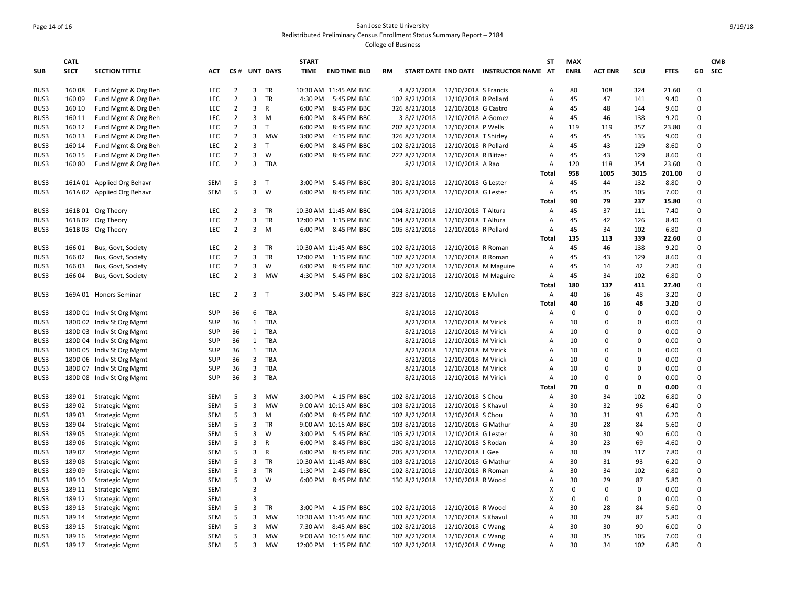# Page 14 of 16 San Jose State University Redistributed Preliminary Census Enrollment Status Summary Report – 2184

|            | <b>CATL</b> |                            |            |                |                |              | <b>START</b> |                       |               |                      |                                        | <b>ST</b>      | <b>MAX</b>  |                |              |             |                      | <b>CMB</b> |
|------------|-------------|----------------------------|------------|----------------|----------------|--------------|--------------|-----------------------|---------------|----------------------|----------------------------------------|----------------|-------------|----------------|--------------|-------------|----------------------|------------|
| <b>SUB</b> | <b>SECT</b> | <b>SECTION TITTLE</b>      | <b>ACT</b> |                |                | CS# UNT DAYS | TIME         | <b>END TIME BLD</b>   | <b>RM</b>     |                      | START DATE END DATE INSTRUCTOR NAME AT |                | <b>ENRL</b> | <b>ACT ENR</b> | SCU          | <b>FTES</b> |                      | GD SEC     |
| BUS3       | 16008       | Fund Mgmt & Org Beh        | <b>LEC</b> | $\overline{2}$ | 3              | <b>TR</b>    |              | 10:30 AM 11:45 AM BBC | 4 8/21/2018   | 12/10/2018 S Francis |                                        | A              | 80          | 108            | 324          | 21.60       | $\Omega$             |            |
| BUS3       | 160 09      | Fund Mgmt & Org Beh        | <b>LEC</b> | $\overline{2}$ | 3              | <b>TR</b>    |              | 4:30 PM 5:45 PM BBC   | 102 8/21/2018 | 12/10/2018 R Pollard |                                        | A              | 45          | 47             | 141          | 9.40        | $\Omega$             |            |
| BUS3       | 160 10      | Fund Mgmt & Org Beh        | LEC        | $\overline{2}$ | 3              | R            | 6:00 PM      | 8:45 PM BBC           | 326 8/21/2018 | 12/10/2018 G Castro  |                                        | A              | 45          | 48             | 144          | 9.60        | $\Omega$             |            |
| BUS3       | 160 11      | Fund Mgmt & Org Beh        | LEC        | $\overline{2}$ | 3              | M            | 6:00 PM      | 8:45 PM BBC           | 3 8/21/2018   | 12/10/2018 A Gomez   |                                        | Α              | 45          | 46             | 138          | 9.20        | $\Omega$             |            |
| BUS3       | 160 12      | Fund Mgmt & Org Beh        | <b>LEC</b> | $\overline{2}$ | 3              | $\top$       | 6:00 PM      | 8:45 PM BBC           | 202 8/21/2018 | 12/10/2018 P Wells   |                                        | A              | 119         | 119            | 357          | 23.80       | $\Omega$             |            |
| BUS3       | 160 13      | Fund Mgmt & Org Beh        | LEC        | $\overline{2}$ | 3              | MW           | 3:00 PM      | 4:15 PM BBC           | 326 8/21/2018 | 12/10/2018 T Shirley |                                        | Α              | 45          | 45             | 135          | 9.00        | $\Omega$             |            |
| BUS3       | 160 14      | Fund Mgmt & Org Beh        | <b>LEC</b> | $\overline{2}$ | 3              | $\top$       | 6:00 PM      | 8:45 PM BBC           | 102 8/21/2018 | 12/10/2018 R Pollard |                                        | A              | 45          | 43             | 129          | 8.60        | $\Omega$             |            |
| BUS3       | 160 15      | Fund Mgmt & Org Beh        | LEC        | $\overline{2}$ | 3              | W            | 6:00 PM      | 8:45 PM BBC           | 222 8/21/2018 | 12/10/2018 R Blitzer |                                        | A              | 45          | 43             | 129          | 8.60        | $\Omega$             |            |
| BUS3       | 16080       | Fund Mgmt & Org Beh        | LEC        | $\overline{2}$ | 3              | TBA          |              |                       | 8/21/2018     | 12/10/2018 A Rao     |                                        | Α              | 120         | 118            | 354          | 23.60       | $\Omega$             |            |
|            |             |                            |            |                |                |              |              |                       |               |                      |                                        | Total          | 958         | 1005           | 3015         | 201.00      | $\Omega$             |            |
| BUS3       |             | 161A 01 Applied Org Behavr | SEM        | 5              | 3 <sub>T</sub> |              | 3:00 PM      | 5:45 PM BBC           | 301 8/21/2018 | 12/10/2018 G Lester  |                                        | A              | 45          | 44             | 132          | 8.80        | $\Omega$             |            |
| BUS3       |             | 161A 02 Applied Org Behavr | <b>SEM</b> | 5              | 3              | W            | 6:00 PM      | 8:45 PM BBC           | 105 8/21/2018 | 12/10/2018 G Lester  |                                        | A              | 45          | 35             | 105          | 7.00        | $\Omega$             |            |
|            |             |                            |            |                |                |              |              |                       |               |                      |                                        | Total          | 90          | 79             | 237          | 15.80       | $\Omega$             |            |
| BUS3       |             | 161B 01 Org Theory         | <b>LEC</b> | $\overline{2}$ | 3              | <b>TR</b>    |              | 10:30 AM 11:45 AM BBC | 104 8/21/2018 | 12/10/2018 T Altura  |                                        | Α              | 45          | 37             | 111          | 7.40        | $\mathbf 0$          |            |
| BUS3       |             | 161B 02 Org Theory         | <b>LEC</b> | $\overline{2}$ | 3              | TR           | 12:00 PM     | 1:15 PM BBC           | 104 8/21/2018 | 12/10/2018 T Altura  |                                        | A              | 45          | 42             | 126          | 8.40        | $\Omega$             |            |
| BUS3       |             | 161B 03 Org Theory         | <b>LEC</b> | $\overline{2}$ | 3              | M            | 6:00 PM      | 8:45 PM BBC           | 105 8/21/2018 | 12/10/2018 R Pollard |                                        | Α              | 45          | 34             | 102          | 6.80        | $\Omega$             |            |
|            |             |                            |            |                |                |              |              |                       |               |                      |                                        | Total          | 135         | 113            | 339          | 22.60       | $\Omega$             |            |
| BUS3       | 166 01      | Bus, Govt, Society         | <b>LEC</b> | $\overline{2}$ | 3              | TR           |              | 10:30 AM 11:45 AM BBC | 102 8/21/2018 | 12/10/2018 R Roman   |                                        | A              | 45          | 46             | 138          | 9.20        | $\Omega$             |            |
| BUS3       | 166 02      | Bus, Govt, Society         | <b>LEC</b> | $\overline{2}$ | 3              | TR           |              | 12:00 PM 1:15 PM BBC  | 102 8/21/2018 | 12/10/2018 R Roman   |                                        | А              | 45          | 43             | 129          | 8.60        | $\mathbf 0$          |            |
| BUS3       | 16603       | Bus, Govt, Society         | <b>LEC</b> | $\overline{2}$ | 3              | W            | 6:00 PM      | 8:45 PM BBC           | 102 8/21/2018 | 12/10/2018 M Maguire |                                        | Α              | 45          | 14             | 42           | 2.80        | $\Omega$             |            |
| BUS3       | 166 04      | Bus, Govt, Society         | <b>LEC</b> | $\overline{2}$ |                | 3 MW         | 4:30 PM      | 5:45 PM BBC           | 102 8/21/2018 | 12/10/2018 M Maguire |                                        | Α              | 45          | 34             | 102          | 6.80        | $\Omega$             |            |
|            |             |                            |            |                |                |              |              |                       |               |                      |                                        | <b>Total</b>   | 180         | 137            | 411          | 27.40       | $\Omega$             |            |
| BUS3       |             | 169A 01 Honors Seminar     | <b>LEC</b> | 2              | 3              | $\top$       | 3:00 PM      | 5:45 PM BBC           | 323 8/21/2018 | 12/10/2018 E Mullen  |                                        | A              | 40          | 16             | 48           | 3.20        | $\Omega$             |            |
|            |             |                            |            |                |                |              |              |                       |               |                      |                                        | Total          | 40          | 16             | 48           | 3.20        | $\Omega$             |            |
| BUS3       |             | 180D 01 Indiv St Org Mgmt  | SUP        | 36             | 6              | TBA          |              |                       | 8/21/2018     | 12/10/2018           |                                        | Α              | 0           | $\Omega$       | $\mathbf 0$  | 0.00        | $\Omega$             |            |
| BUS3       |             | 180D 02 Indiv St Org Mgmt  | SUP        | 36             | $\mathbf{1}$   | TBA          |              |                       | 8/21/2018     | 12/10/2018 M Virick  |                                        | A              | 10          | $\Omega$       | $\Omega$     | 0.00        | $\Omega$             |            |
| BUS3       |             | 180D 03 Indiv St Org Mgmt  | SUP        | 36             |                | 1 TBA        |              |                       | 8/21/2018     | 12/10/2018 M Virick  |                                        | Α              | 10          | 0              | $\Omega$     | 0.00        | $\Omega$             |            |
| BUS3       |             | 180D 04 Indiv St Org Mgmt  | SUP        | 36             |                | 1 TBA        |              |                       | 8/21/2018     | 12/10/2018 M Virick  |                                        | Α              | 10          | $\Omega$       | $\Omega$     | 0.00        | $\Omega$             |            |
| BUS3       |             | 180D 05 Indiv St Org Mgmt  | SUP        | 36             | $\mathbf{1}$   | TBA          |              |                       | 8/21/2018     | 12/10/2018 M Virick  |                                        | Α              | 10          | $\Omega$       | $\Omega$     | 0.00        | $\Omega$             |            |
| BUS3       |             | 180D 06 Indiv St Org Mgmt  | SUP        | 36             | 3              | TBA          |              |                       | 8/21/2018     | 12/10/2018 M Virick  |                                        | A              | 10          | $\Omega$       | $\Omega$     | 0.00        | $\Omega$             |            |
| BUS3       |             | 180D 07 Indiv St Org Mgmt  | SUP        | 36             | 3              | <b>TBA</b>   |              |                       | 8/21/2018     | 12/10/2018 M Virick  |                                        | A              | 10          | $\Omega$       | $\Omega$     | 0.00        | $\Omega$             |            |
| BUS3       |             | 180D 08 Indiv St Org Mgmt  | SUP        | 36             | $\mathbf{3}$   | TBA          |              |                       | 8/21/2018     | 12/10/2018 M Virick  |                                        | Α              | 10          | $\mathbf 0$    | $\Omega$     | 0.00        | $\Omega$             |            |
|            |             |                            |            |                |                |              |              |                       |               |                      |                                        | Total          | 70          | 0              | 0            | 0.00        | $\Omega$             |            |
| BUS3       | 18901       | <b>Strategic Mgmt</b>      | <b>SEM</b> | 5              | 3              | <b>MW</b>    |              | 3:00 PM 4:15 PM BBC   | 102 8/21/2018 | 12/10/2018 S Chou    |                                        | A              | 30          | 34             | 102          | 6.80        | $\Omega$             |            |
| BUS3       | 18902       | <b>Strategic Mgmt</b>      | <b>SEM</b> | 5              | 3              | <b>MW</b>    |              | 9:00 AM 10:15 AM BBC  | 103 8/21/2018 | 12/10/2018 S Khavul  |                                        | Α              | 30          | 32             | 96           | 6.40        | $\mathbf 0$          |            |
| BUS3       | 18903       | <b>Strategic Mgmt</b>      | <b>SEM</b> | 5              | 3              | M            |              | 6:00 PM 8:45 PM BBC   | 102 8/21/2018 | 12/10/2018 S Chou    |                                        | A              | 30          | 31             | 93           | 6.20        | $\Omega$             |            |
| BUS3       | 18904       | <b>Strategic Mgmt</b>      | <b>SEM</b> | 5              | 3              | TR           |              | 9:00 AM 10:15 AM BBC  | 103 8/21/2018 | 12/10/2018 G Mathur  |                                        | Α              | 30          | 28             | 84           | 5.60        | $\Omega$             |            |
| BUS3       | 18905       | <b>Strategic Mgmt</b>      | <b>SEM</b> | 5<br>5         | 3<br>3         | W            | 3:00 PM      | 5:45 PM BBC           | 105 8/21/2018 | 12/10/2018 G Lester  |                                        | $\overline{A}$ | 30<br>30    | 30<br>23       | 90           | 6.00        | $\Omega$<br>$\Omega$ |            |
| BUS3       | 18906       | <b>Strategic Mgmt</b>      | SEM        |                |                | R            | 6:00 PM      | 8:45 PM BBC           | 130 8/21/2018 | 12/10/2018 S Rodan   |                                        | A              |             |                | 69           | 4.60        | $\Omega$             |            |
| BUS3       | 18907       | <b>Strategic Mgmt</b>      | <b>SEM</b> | 5              | 3              | R            | 6:00 PM      | 8:45 PM BBC           | 205 8/21/2018 | 12/10/2018 L Gee     |                                        | А              | 30          | 39             | 117          | 7.80        |                      |            |
| BUS3       | 18908       | <b>Strategic Mgmt</b>      | <b>SEM</b> | 5              | 3              | TR           |              | 10:30 AM 11:45 AM BBC | 103 8/21/2018 | 12/10/2018 G Mathur  |                                        | А              | 30          | 31             | 93           | 6.20        | $\Omega$<br>$\Omega$ |            |
| BUS3       | 18909       | <b>Strategic Mgmt</b>      | <b>SEM</b> | 5              | 3              | <b>TR</b>    | 1:30 PM      | 2:45 PM BBC           | 102 8/21/2018 | 12/10/2018 R Roman   |                                        | A              | 30          | 34             | 102          | 6.80        |                      |            |
| BUS3       | 189 10      | <b>Strategic Mgmt</b>      | SEM        | 5              | 3              | W            | 6:00 PM      | 8:45 PM BBC           | 130 8/21/2018 | 12/10/2018 R Wood    |                                        | A              | 30          | 29             | 87           | 5.80        | $\Omega$             |            |
| BUS3       | 189 11      | <b>Strategic Mgmt</b>      | <b>SEM</b> |                | 3              |              |              |                       |               |                      |                                        | x              | $\mathbf 0$ | $\Omega$       | $\mathbf{0}$ | 0.00        | $\Omega$             |            |
| BUS3       | 189 12      | <b>Strategic Mgmt</b>      | <b>SEM</b> |                | 3              |              |              |                       |               |                      |                                        | X              | $\mathbf 0$ | $\mathbf 0$    | $\mathbf 0$  | 0.00        | $\mathbf 0$          |            |
| BUS3       | 189 13      | <b>Strategic Mgmt</b>      | <b>SEM</b> | 5              | 3              | <b>TR</b>    |              | 3:00 PM 4:15 PM BBC   | 102 8/21/2018 | 12/10/2018 R Wood    |                                        | A              | 30          | 28             | 84           | 5.60        | $\Omega$             |            |
| BUS3       | 189 14      | <b>Strategic Mgmt</b>      | SEM        | 5              | 3              | MW           |              | 10:30 AM 11:45 AM BBC | 103 8/21/2018 | 12/10/2018 S Khavul  |                                        | А              | 30          | 29             | 87           | 5.80        | $\Omega$             |            |
| BUS3       | 189 15      | <b>Strategic Mgmt</b>      | SEM        | 5              | 3              | MW           |              | 7:30 AM 8:45 AM BBC   | 102 8/21/2018 | 12/10/2018 C Wang    |                                        | A              | 30          | 30             | 90           | 6.00        | $\Omega$<br>$\Omega$ |            |
| BUS3       | 189 16      | <b>Strategic Mgmt</b>      | SEM        | 5              | 3              | MW           |              | 9:00 AM 10:15 AM BBC  | 102 8/21/2018 | 12/10/2018 C Wang    |                                        | A              | 30          | 35             | 105          | 7.00        |                      |            |
| BUS3       | 189 17      | <b>Strategic Mgmt</b>      | <b>SEM</b> | 5              | 3              | <b>MW</b>    |              | 12:00 PM 1:15 PM BBC  | 102 8/21/2018 | 12/10/2018 C Wang    |                                        | А              | 30          | 34             | 102          | 6.80        | $\Omega$             |            |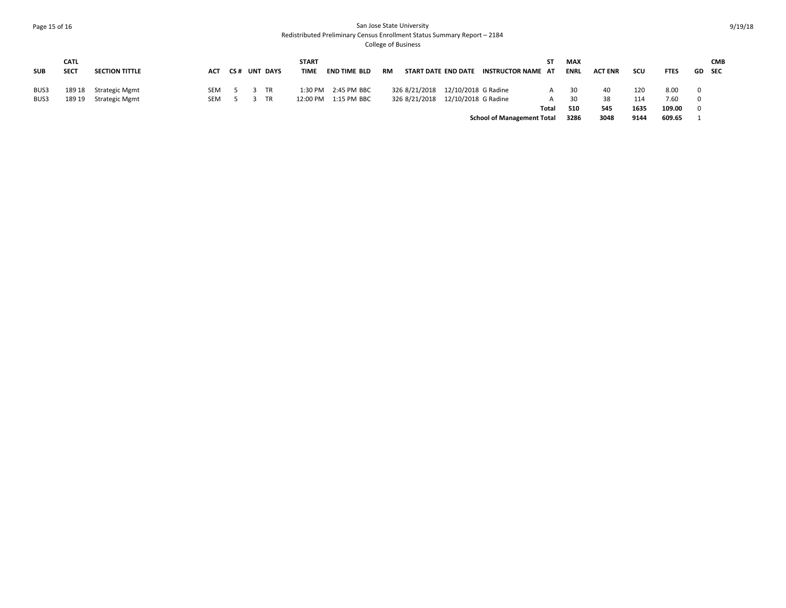### Page 15 of 16 San Jose State University Redistributed Preliminary Census Enrollment Status Summary Report – 2184 College of Business

| <b>SUB</b> | <b>CATL</b><br><b>SECT</b> | <b>SECTION TITTLE</b> | ACT | <b>CS# UNT DAYS</b> |           | <b>START</b><br><b>TIME</b> | <b>END TIME BLD</b>   | RM |                                   | START DATE END DATE | <b>INSTRUCTOR NAME AT</b>         | ST.   | <b>MAX</b><br><b>ENRL</b> | <b>ACT ENR</b> | scu  | <b>FTES</b> |                         | <b>CMB</b><br>GD SEC |
|------------|----------------------------|-----------------------|-----|---------------------|-----------|-----------------------------|-----------------------|----|-----------------------------------|---------------------|-----------------------------------|-------|---------------------------|----------------|------|-------------|-------------------------|----------------------|
| BUS3       | 189 18                     | Strategic Mgmt        | SEM |                     | <b>TR</b> |                             | 1:30 PM 2:45 PM BBC   |    | 326 8/21/2018 12/10/2018 G Radine |                     |                                   | A     | 30                        | 40             | 120  | 8.00        | $\overline{\mathbf{0}}$ |                      |
| BUS3       | 189 19                     | Strategic Mgmt        | SEM |                     | TR        |                             | 12:00 PM  1:15 PM BBC |    | 326 8/21/2018 12/10/2018 G Radine |                     |                                   | A     | 30                        | 38             | 114  | 7.60        | $\overline{\mathbf{0}}$ |                      |
|            |                            |                       |     |                     |           |                             |                       |    |                                   |                     |                                   | Total | 510                       | 545            | 1635 | 109.00      | $\Omega$                |                      |
|            |                            |                       |     |                     |           |                             |                       |    |                                   |                     | <b>School of Management Total</b> |       | 3286                      | 3048           | 9144 | 609.65      |                         |                      |